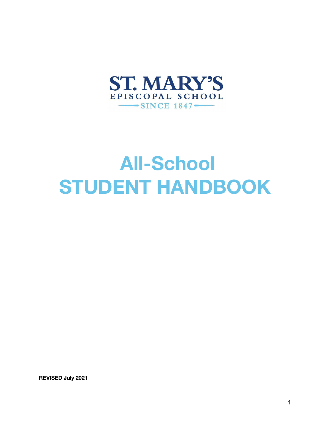

# **All-School STUDENT HANDBOOK**

**REVISED July 2021**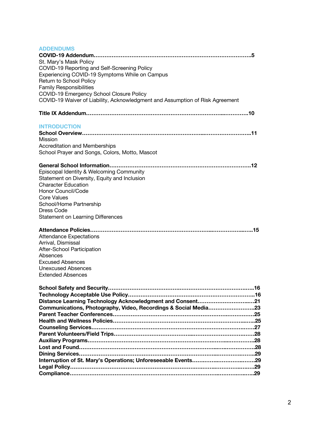| <b>ADDENDUMS</b><br>St. Mary's Mask Policy<br>COVID-19 Reporting and Self-Screening Policy<br>Experiencing COVID-19 Symptoms While on Campus<br>Return to School Policy<br><b>Family Responsibilities</b><br>COVID-19 Emergency School Closure Policy<br>COVID-19 Waiver of Liability, Acknowledgment and Assumption of Risk Agreement | 5 |
|----------------------------------------------------------------------------------------------------------------------------------------------------------------------------------------------------------------------------------------------------------------------------------------------------------------------------------------|---|
|                                                                                                                                                                                                                                                                                                                                        |   |
| <b>INTRODUCTION</b><br>Mission<br><b>Accreditation and Memberships</b><br>School Prayer and Songs, Colors, Motto, Mascot                                                                                                                                                                                                               |   |
| Episcopal Identity & Welcoming Community<br>Statement on Diversity, Equity and Inclusion<br><b>Character Education</b><br>Honor Council/Code<br><b>Core Values</b><br>School/Home Partnership<br>Dress Code<br>Statement on Learning Differences                                                                                       |   |
| <b>Attendance Expectations</b><br>Arrival, Dismissal<br>After-School Participation<br>Absences<br><b>Excused Absences</b><br><b>Unexcused Absences</b><br><b>Extended Absences</b>                                                                                                                                                     |   |
| Distance Learning Technology Acknowledgment and Consent21<br>Communications, Photography, Video, Recordings & Social Media23                                                                                                                                                                                                           |   |
|                                                                                                                                                                                                                                                                                                                                        |   |
|                                                                                                                                                                                                                                                                                                                                        |   |
|                                                                                                                                                                                                                                                                                                                                        |   |
|                                                                                                                                                                                                                                                                                                                                        |   |
|                                                                                                                                                                                                                                                                                                                                        |   |
|                                                                                                                                                                                                                                                                                                                                        |   |
|                                                                                                                                                                                                                                                                                                                                        |   |
|                                                                                                                                                                                                                                                                                                                                        |   |
|                                                                                                                                                                                                                                                                                                                                        |   |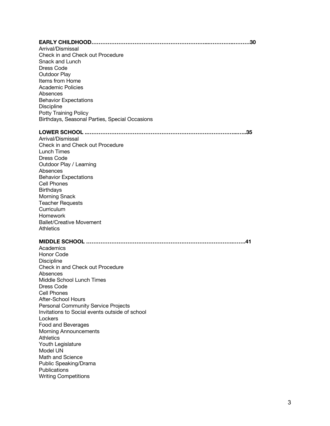#### **EARLY CHILDHOOD………………………………………………………...…………..………30**

Arrival/Dismissal Check in and Check out Procedure Snack and Lunch Dress Code Outdoor Play Items from Home Academic Policies Absences Behavior Expectations **Discipline** Potty Training Policy Birthdays, Seasonal Parties, Special Occasions

#### **LOWER SCHOOL ..………………………………………………………………………...…..35**

Arrival/Dismissal Check in and Check out Procedure Lunch Times Dress Code Outdoor Play / Learning Absences Behavior Expectations Cell Phones **Birthdays** Morning Snack Teacher Requests **Curriculum** Homework Ballet/Creative Movement **Athletics** 

## **MIDDLE SCHOOL ……………………………………………………………………….…….41**

**Academics** Honor Code **Discipline** Check in and Check out Procedure Absences Middle School Lunch Times Dress Code Cell Phones After-School Hours Personal Community Service Projects Invitations to Social events outside of school **Lockers** Food and Beverages Morning Announcements **Athletics** Youth Legislature Model UN Math and Science Public Speaking/Drama **Publications** Writing Competitions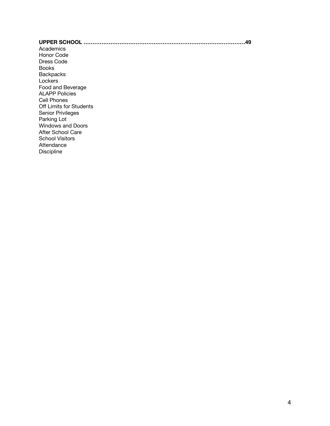## **UPPER SCHOOL ………………………………………………………………………………49** Academics Honor Code Dress Code Books **Backpacks Lockers** Food and Beverage ALAPP Policies Cell Phones Off Limits for Students Senior Privileges Parking Lot Windows and Doors After School Care School Visitors Attendance Discipline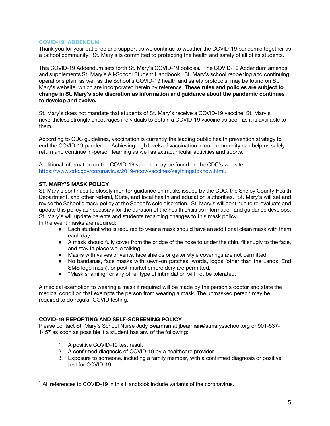## **COVID-191 ADDENDUM**

Thank you for your patience and support as we continue to weather the COVID-19 pandemic together as a School community. St. Mary's is committed to protecting the health and safety of all of its students.

This COVID-19 Addendum sets forth St. Mary's COVID-19 policies. The COVID-19 Addendum amends and supplements St. Mary's All-School Student Handbook. St. Mary's school reopening and continuing operations plan, as well as the School's COVID-19 health and safety protocols, may be found on St. Mary's website, which are incorporated herein by reference. **These rules and policies are subject to change in St. Mary's sole discretion as information and guidance about the pandemic continues to develop and evolve.** 

St. Mary's does not mandate that students of St. Mary's receive a COVID-19 vaccine. St. Mary's nevertheless strongly encourages individuals to obtain a COVID-19 vaccine as soon as it is available to them.

According to CDC guidelines, vaccination is currently the leading public health prevention strategy to end the COVID-19 pandemic. Achieving high levels of vaccination in our community can help us safely return and continue in-person learning as well as extracurricular activities and sports.

Additional information on the COVID-19 vaccine may be found on the CDC's website: https://www.cdc.gov/coronavirus/2019-ncov/vaccines/keythingstoknow.html.

## **ST. MARY'S MASK POLICY**

St. Mary's continues to closely monitor guidance on masks issued by the CDC, the Shelby County Health Department, and other federal, State, and local health and education authorities. St. Mary's will set and revise the School's mask policy at the School's sole discretion. St. Mary's will continue to re-evaluate and update this policy as necessary for the duration of the health crisis as information and guidance develops. St. Mary's will update parents and students regarding changes to this mask policy. In the event masks are required:

- Each student who is required to wear a mask should have an additional clean mask with them each day.
- A mask should fully cover from the bridge of the nose to under the chin, fit snugly to the face, and stay in place while talking.
- Masks with valves or vents, face shields or gaiter style coverings are not permitted.
- No bandanas, face masks with sewn-on patches, words, logos (other than the Lands' End SMS logo mask), or post-market embroidery are permitted.
- "Mask shaming" or any other type of intimidation will not be tolerated.

A medical exemption to wearing a mask if required will be made by the person's doctor and state the medical condition that exempts the person from wearing a mask. The unmasked person may be required to do regular COVID testing.

#### **COVID-19 REPORTING AND SELF-SCREENING POLICY**

Please contact St. Mary's School Nurse Judy Bearman at jbearman@stmarysschool.org or 901-537- 1457 as soon as possible if a student has any of the following:

- 1. A positive COVID-19 test result
- 2. A confirmed diagnosis of COVID-19 by a healthcare provider
- 3. Exposure to someone, including a family member, with a confirmed diagnosis or positive test for COVID-19

 $1$  All references to COVID-19 in this Handbook include variants of the coronavirus.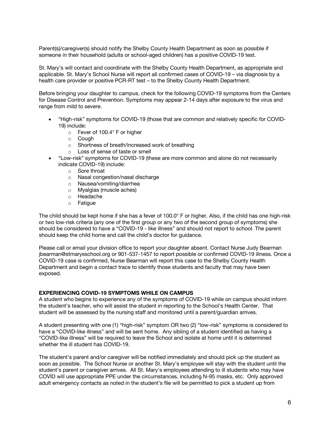Parent(s)/caregiver(s) should notify the Shelby County Health Department as soon as possible if someone in their household (adults or school-aged children) has a positive COVID-19 test.

St. Mary's will contact and coordinate with the Shelby County Health Department, as appropriate and applicable. St. Mary's School Nurse will report all confirmed cases of COVID-19 – via diagnosis by a health care provider or positive PCR-RT test – to the Shelby County Health Department.

Before bringing your daughter to campus, check for the following COVID-19 symptoms from the Centers for Disease Control and Prevention. Symptoms may appear 2-14 days after exposure to the virus and range from mild to severe.

- "High-risk" symptoms for COVID-19 (those that are common and relatively specific for COVID-19) include:
	- o Fever of 100.4° F or higher
	- o Cough
	- o Shortness of breath/increased work of breathing
	- o Loss of sense of taste or smell
- "Low-risk" symptoms for COVID-19 (these are more common and alone do not necessarily indicate COVID-19) include:
	- o Sore throat
	- o Nasal congestion/nasal discharge
	- o Nausea/vomiting/diarrhea
	- o Myalgias (muscle aches)
	- o Headache
	- o Fatigue

The child should be kept home if she has a fever of 100.0° F or higher. Also, if the child has one high-risk or two low-risk criteria (any one of the first group or any two of the second group of symptoms) she should be considered to have a "COVID-19 - like illness" and should not report to school. The parent should keep the child home and call the child's doctor for guidance.

Please call or email your division office to report your daughter absent. Contact Nurse Judy Bearman jbearman@stmarysschool.org or 901-537-1457 to report possible or confirmed COVID-19 illness. Once a COVID-19 case is confirmed, Nurse Bearman will report this case to the Shelby County Health Department and begin a contact trace to identify those students and faculty that may have been exposed.

## **EXPERIENCING COVID-19 SYMPTOMS WHILE ON CAMPUS**

A student who begins to experience any of the symptoms of COVID-19 while on campus should inform the student's teacher, who will assist the student in reporting to the School's Health Center. That student will be assessed by the nursing staff and monitored until a parent/guardian arrives.

A student presenting with one (1) "high-risk" symptom OR two (2) "low-risk" symptoms is considered to have a "COVID-like illness" and will be sent home. Any sibling of a student identified as having a "COVID-like illness" will be required to leave the School and isolate at home until it is determined whether the ill student has COVID-19.

The student's parent and/or caregiver will be notified immediately and should pick up the student as soon as possible. The School Nurse or another St. Mary's employee will stay with the student until the student's parent or caregiver arrives. All St. Mary's employees attending to ill students who may have COVID will use appropriate PPE under the circumstances, including N-95 masks, etc. Only approved adult emergency contacts as noted in the student's file will be permitted to pick a student up from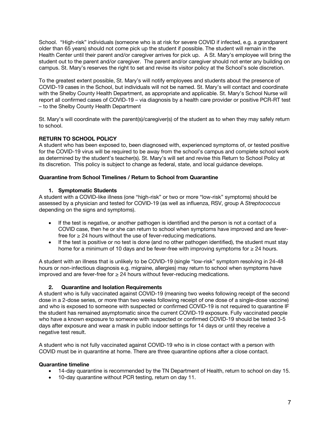School. "High-risk" individuals (someone who is at risk for severe COVID if infected, e.g. a grandparent older than 65 years) should not come pick up the student if possible. The student will remain in the Health Center until their parent and/or caregiver arrives for pick up. A St. Mary's employee will bring the student out to the parent and/or caregiver. The parent and/or caregiver should not enter any building on campus. St. Mary's reserves the right to set and revise its visitor policy at the School's sole discretion.

To the greatest extent possible, St. Mary's will notify employees and students about the presence of COVID-19 cases in the School, but individuals will not be named. St. Mary's will contact and coordinate with the Shelby County Health Department, as appropriate and applicable. St. Mary's School Nurse will report all confirmed cases of COVID-19 – via diagnosis by a health care provider or positive PCR-RT test – to the Shelby County Health Department

St. Mary's will coordinate with the parent(s)/caregiver(s) of the student as to when they may safely return to school.

## **RETURN TO SCHOOL POLICY**

A student who has been exposed to, been diagnosed with, experienced symptoms of, or tested positive for the COVID-19 virus will be required to be away from the school's campus and complete school work as determined by the student's teacher(s). St. Mary's will set and revise this Return to School Policy at its discretion. This policy is subject to change as federal, state, and local guidance develops.

## **Quarantine from School Timelines / Return to School from Quarantine**

## **1. Symptomatic Students**

A student with a COVID-like illness (one "high-risk" or two or more "low-risk" symptoms) should be assessed by a physician and tested for COVID-19 (as well as influenza, RSV, group A *Streptococcus*  depending on the signs and symptoms).

- If the test is negative, or another pathogen is identified and the person is not a contact of a COVID case, then he or she can return to school when symptoms have improved and are feverfree for  $\geq$  24 hours without the use of fever-reducing medications.
- If the test is positive or no test is done (and no other pathogen identified), the student must stay home for a minimum of 10 days and be fever-free with improving symptoms for  $\geq$  24 hours.

A student with an illness that is unlikely to be COVID-19 (single "low-risk" symptom resolving in 24-48 hours or non-infectious diagnosis e.g. migraine, allergies) may return to school when symptoms have improved and are fever-free for  $\geq$  24 hours without fever-reducing medications.

## **2. Quarantine and Isolation Requirements**

A student who is fully vaccinated against COVID-19 (meaning two weeks following receipt of the second dose in a 2-dose series, or more than two weeks following receipt of one dose of a single-dose vaccine) and who is exposed to someone with suspected or confirmed COVID-19 is not required to quarantine IF the student has remained asymptomatic since the current COVID-19 exposure. Fully vaccinated people who have a known exposure to someone with suspected or confirmed COVID-19 should be tested 3-5 days after exposure and wear a mask in public indoor settings for 14 days or until they receive a negative test result.

A student who is not fully vaccinated against COVID-19 who is in close contact with a person with COVID must be in quarantine at home. There are three quarantine options after a close contact.

#### **Quarantine timeline**

- 14-day quarantine is recommended by the TN Department of Health, return to school on day 15.
- 10-day quarantine without PCR testing, return on day 11.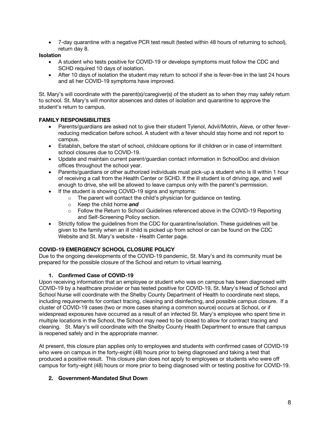• 7-day quarantine with a negative PCR test result (tested within 48 hours of returning to school), return day 8.

## **Isolation**

- A student who tests positive for COVID-19 or develops symptoms must follow the CDC and SCHD required 10 days of isolation.
- After 10 days of isolation the student may return to school if she is fever-free in the last 24 hours and all her COVID-19 symptoms have improved.

St. Mary's will coordinate with the parent(s)/caregiver(s) of the student as to when they may safely return to school. St. Mary's will monitor absences and dates of isolation and quarantine to approve the student's return to campus.

## **FAMILY RESPONSIBILITIES**

- Parents/guardians are asked not to give their student Tylenol, Advil/Motrin, Aleve, or other feverreducing medication before school. A student with a fever should stay home and not report to campus.
- Establish, before the start of school, childcare options for ill children or in case of intermittent school closures due to COVID-19.
- Update and maintain current parent/guardian contact information in SchoolDoc and division offices throughout the school year.
- Parents/guardians or other authorized individuals must pick-up a student who is ill within 1 hour of receiving a call from the Health Center or SCHD. If the ill student is of driving age, and well enough to drive, she will be allowed to leave campus only with the parent's permission.
- If the student is showing COVID-19 signs and symptoms:
	- o The parent will contact the child's physician for guidance on testing.
	- o Keep the child home *and*
	- o Follow the Return to School Guidelines referenced above in the COVID-19 Reporting and Self-Screening Policy section.
- Strictly follow the guidelines from the CDC for quarantine/isolation. These guidelines will be given to the family when an ill child is picked up from school or can be found on the CDC Website and St. Mary's website - Health Center page.

## **COVID-19 EMERGENCY SCHOOL CLOSURE POLICY**

Due to the ongoing developments of the COVID-19 pandemic, St. Mary's and its community must be prepared for the possible closure of the School and return to virtual learning.

## **1. Confirmed Case of COVID-19**

Upon receiving information that an employee or student who was on campus has been diagnosed with COVID-19 by a healthcare provider or has tested positive for COVID-19, St. Mary's Head of School and School Nurse will coordinate with the Shelby County Department of Health to coordinate next steps, including requirements for contact tracing, cleaning and disinfecting, and possible campus closure. If a cluster of COVID-19 cases (two or more cases sharing a common source) occurs at School, or if widespread exposures have occurred as a result of an infected St. Mary's employee who spent time in multiple locations in the School, the School may need to be closed to allow for contract tracing and cleaning. St. Mary's will coordinate with the Shelby County Health Department to ensure that campus is reopened safely and in the appropriate manner.

At present, this closure plan applies only to employees and students with confirmed cases of COVID-19 who were on campus in the forty-eight (48) hours prior to being diagnosed and taking a test that produced a positive result. This closure plan does not apply to employees or students who were off campus for forty-eight (48) hours or more prior to being diagnosed with or testing positive for COVID-19.

## **2. Government-Mandated Shut Down**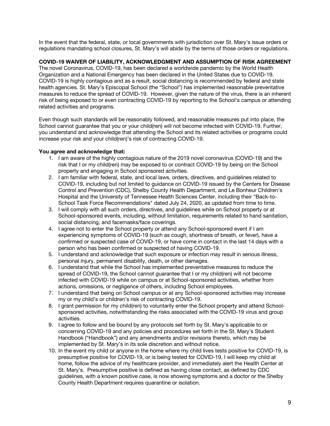In the event that the federal, state, or local governments with jurisdiction over St. Mary's issue orders or regulations mandating school closures, St. Mary's will abide by the terms of those orders or regulations.

## **COVID-19 WAIVER OF LIABILITY, ACKNOWLEDGMENT AND ASSUMPTION OF RISK AGREEMENT**

The novel Coronavirus, COVID-19, has been declared a worldwide pandemic by the World Health Organization and a National Emergency has been declared in the United States due to COVID-19. COVID-19 is highly contagious and as a result, social distancing is recommended by federal and state health agencies. St. Mary's Episcopal School (the "School") has implemented reasonable preventative measures to reduce the spread of COVID-19. However, given the nature of the virus, there is an inherent risk of being exposed to or even contracting COVID-19 by reporting to the School's campus or attending related activities and programs.

Even though such standards will be reasonably followed, and reasonable measures put into place, the School cannot guarantee that you or your child(ren) will not become infected with COVID-19. Further, you understand and acknowledge that attending the School and its related activities or programs could increase your risk and your child(ren)'s risk of contracting COVID-19.

## **You agree and acknowledge that:**

- 1. I am aware of the highly contagious nature of the 2019 novel coronavirus (COVID-19) and the risk that I or my child(ren) may be exposed to or contract COVID-19 by being on the School property and engaging in School sponsored activities.
- 2. I am familiar with federal, state, and local laws, orders, directives, and guidelines related to COVID-19, including but not limited to guidance on COVID-19 issued by the Centers for Disease Control and Prevention (CDC), Shelby County Health Department, and Le Bonheur Children's Hospital and the University of Tennessee Health Sciences Center, including their "Back-to-School Task Force Recommendations" dated July 24, 2020, as updated from time to time.
- 3. I will comply with all such orders, directives, and guidelines while on School property or at School-sponsored events, including, without limitation, requirements related to hand sanitation, social distancing, and facemasks/face coverings.
- 4. I agree not to enter the School property or attend any School-sponsored event if I am experiencing symptoms of COVID-19 (such as cough, shortness of breath, or fever), have a confirmed or suspected case of COVID-19, or have come in contact in the last 14 days with a person who has been confirmed or suspected of having COVID-19.
- 5. I understand and acknowledge that such exposure or infection may result in serious illness, personal injury, permanent disability, death, or other damages.
- 6. I understand that while the School has implemented preventative measures to reduce the spread of COVID-19, the School cannot guarantee that I or my child(ren) will not become infected with COVID-19 while on campus or at School-sponsored activities, whether from actions, omissions, or negligence of others, including School employees.
- 7. I understand that being on School campus or at any School-sponsored activities may increase my or my child's or children's risk of contracting COVID-19.
- 8. I grant permission for my child(ren) to voluntarily enter the School property and attend Schoolsponsored activities, notwithstanding the risks associated with the COVID-19 virus and group activities.
- 9. I agree to follow and be bound by any protocols set forth by St. Mary's applicable to or concerning COVID-19 and any policies and procedures set forth in the St. Mary's Student Handbook ("Handbook") and any amendments and/or revisions thereto, which may be implemented by St. Mary's in its sole discretion and without notice.
- 10. In the event my child or anyone in the home where my child lives tests positive for COVID-19, is presumptive positive for COVID-19, or is being tested for COVID-19, I will keep my child at home, follow the advice of my healthcare provider, and immediately alert the Health Center at St. Mary's. Presumptive positive is defined as having close contact, as defined by CDC guidelines, with a known positive case, is now showing symptoms and a doctor or the Shelby County Health Department requires quarantine or isolation.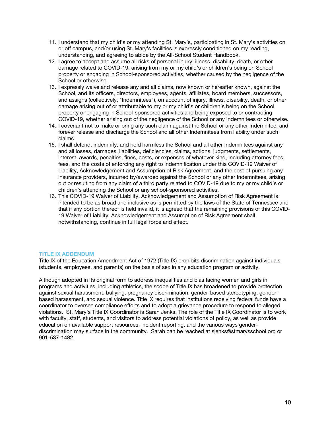- 11. I understand that my child's or my attending St. Mary's, participating in St. Mary's activities on or off campus, and/or using St. Mary's facilities is expressly conditioned on my reading, understanding, and agreeing to abide by the All-School Student Handbook.
- 12. I agree to accept and assume all risks of personal injury, illness, disability, death, or other damage related to COVID-19, arising from my or my child's or children's being on School property or engaging in School-sponsored activities, whether caused by the negligence of the School or otherwise.
- 13. I expressly waive and release any and all claims, now known or hereafter known, against the School, and its officers, directors, employees, agents, affiliates, board members, successors, and assigns (collectively, "Indemnitees"), on account of injury, illness, disability, death, or other damage arising out of or attributable to my or my child's or children's being on the School property or engaging in School-sponsored activities and being exposed to or contracting COVID-19, whether arising out of the negligence of the School or any Indemnitees or otherwise.
- 14. I covenant not to make or bring any such claim against the School or any other Indemnitee, and forever release and discharge the School and all other Indemnitees from liability under such claims.
- 15. I shall defend, indemnify, and hold harmless the School and all other Indemnitees against any and all losses, damages, liabilities, deficiencies, claims, actions, judgments, settlements, interest, awards, penalties, fines, costs, or expenses of whatever kind, including attorney fees, fees, and the costs of enforcing any right to indemnification under this COVID-19 Waiver of Liability, Acknowledgement and Assumption of Risk Agreement, and the cost of pursuing any insurance providers, incurred by/awarded against the School or any other Indemnitees, arising out or resulting from any claim of a third party related to COVID-19 due to my or my child's or children's attending the School or any school-sponsored activities.
- 16. This COVID-19 Waiver of Liability, Acknowledgement and Assumption of Risk Agreement is intended to be as broad and inclusive as is permitted by the laws of the State of Tennessee and that if any portion thereof is held invalid, it is agreed that the remaining provisions of this COVID-19 Waiver of Liability, Acknowledgement and Assumption of Risk Agreement shall, notwithstanding, continue in full legal force and effect.

## **TITLE IX ADDENDUM**

Title IX of the Education Amendment Act of 1972 (Title IX) prohibits discrimination against individuals (students, employees, and parents) on the basis of sex in any education program or activity.

Although adopted in its original form to address inequalities and bias facing women and girls in programs and activities, including athletics, the scope of Title IX has broadened to provide protection against sexual harassment, bullying, pregnancy discrimination, gender-based stereotyping, genderbased harassment, and sexual violence. Title IX requires that institutions receiving federal funds have a coordinator to oversee compliance efforts and to adopt a grievance procedure to respond to alleged violations. St. Mary's Title IX Coordinator is Sarah Jenks. The role of the Title IX Coordinator is to work with faculty, staff, students, and visitors to address potential violations of policy, as well as provide education on available support resources, incident reporting, and the various ways genderdiscrimination may surface in the community. Sarah can be reached at sjenks@stmarysschool.org or 901-537-1482.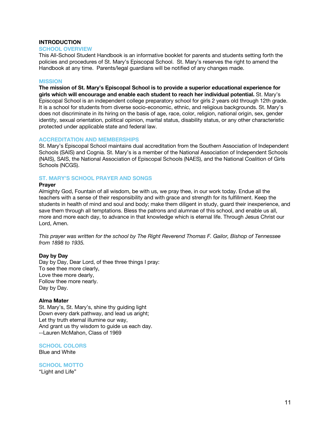## **INTRODUCTION**

#### **SCHOOL OVERVIEW**

This All-School Student Handbook is an informative booklet for parents and students setting forth the policies and procedures of St. Mary's Episcopal School. St. Mary's reserves the right to amend the Handbook at any time. Parents/legal guardians will be notified of any changes made.

### **MISSION**

**The mission of St. Mary's Episcopal School is to provide a superior educational experience for girls which will encourage and enable each student to reach her individual potential.** St. Mary's Episcopal School is an independent college preparatory school for girls 2 years old through 12th grade. It is a school for students from diverse socio-economic, ethnic, and religious backgrounds. St. Mary's does not discriminate in its hiring on the basis of age, race, color, religion, national origin, sex, gender identity, sexual orientation, political opinion, marital status, disability status, or any other characteristic protected under applicable state and federal law.

#### **ACCREDITATION AND MEMBERSHIPS**

St. Mary's Episcopal School maintains dual accreditation from the Southern Association of Independent Schools (SAIS) and Cognia. St. Mary's is a member of the National Association of Independent Schools (NAIS), SAIS, the National Association of Episcopal Schools (NAES), and the National Coalition of Girls Schools (NCGS).

## **ST. MARY'S SCHOOL PRAYER AND SONGS**

#### **Prayer**

Almighty God, Fountain of all wisdom, be with us, we pray thee, in our work today. Endue all the teachers with a sense of their responsibility and with grace and strength for its fulfillment. Keep the students in health of mind and soul and body; make them diligent in study, guard their inexperience, and save them through all temptations. Bless the patrons and alumnae of this school, and enable us all, more and more each day, to advance in that knowledge which is eternal life. Through Jesus Christ our Lord, Amen.

*This prayer was written for the school by The Right Reverend Thomas F. Gailor, Bishop of Tennessee from 1898 to 1935.*

#### **Day by Day**

Day by Day, Dear Lord, of thee three things I pray: To see thee more clearly, Love thee more dearly, Follow thee more nearly. Day by Day.

#### **Alma Mater**

St. Mary's, St. Mary's, shine thy guiding light Down every dark pathway, and lead us aright; Let thy truth eternal illumine our way, And grant us thy wisdom to guide us each day. --Lauren McMahon, Class of 1969

**SCHOOL COLORS** Blue and White

**SCHOOL MOTTO** "Light and Life"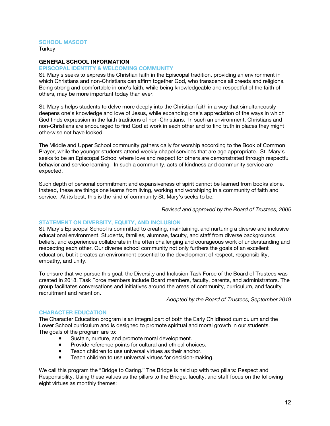## **SCHOOL MASCOT**

**Turkey** 

### **GENERAL SCHOOL INFORMATION**

#### **EPISCOPAL IDENTITY & WELCOMING COMMUNITY**

St. Mary's seeks to express the Christian faith in the Episcopal tradition, providing an environment in which Christians and non-Christians can affirm together God, who transcends all creeds and religions. Being strong and comfortable in one's faith, while being knowledgeable and respectful of the faith of others, may be more important today than ever.

St. Mary's helps students to delve more deeply into the Christian faith in a way that simultaneously deepens one's knowledge and love of Jesus, while expanding one's appreciation of the ways in which God finds expression in the faith traditions of non-Christians. In such an environment, Christians and non-Christians are encouraged to find God at work in each other and to find truth in places they might otherwise not have looked.

The Middle and Upper School community gathers daily for worship according to the Book of Common Prayer, while the younger students attend weekly chapel services that are age appropriate. St. Mary's seeks to be an Episcopal School where love and respect for others are demonstrated through respectful behavior and service learning. In such a community, acts of kindness and community service are expected.

Such depth of personal commitment and expansiveness of spirit cannot be learned from books alone. Instead, these are things one learns from living, working and worshiping in a community of faith and service. At its best, this is the kind of community St. Mary's seeks to be.

*Revised and approved by the Board of Trustees, 2005*

## **STATEMENT ON DIVERSITY, EQUITY, AND INCLUSION**

St. Mary's Episcopal School is committed to creating, maintaining, and nurturing a diverse and inclusive educational environment. Students, families, alumnae, faculty, and staff from diverse backgrounds, beliefs, and experiences collaborate in the often challenging and courageous work of understanding and respecting each other. Our diverse school community not only furthers the goals of an excellent education, but it creates an environment essential to the development of respect, responsibility, empathy, and unity.

To ensure that we pursue this goal, the Diversity and Inclusion Task Force of the Board of Trustees was created in 2018. Task Force members include Board members, faculty, parents, and administrators. The group facilitates conversations and initiatives around the areas of community, curriculum, and faculty recruitment and retention.

*Adopted by the Board of Trustees, September 2019*

#### **CHARACTER EDUCATION**

The Character Education program is an integral part of both the Early Childhood curriculum and the Lower School curriculum and is designed to promote spiritual and moral growth in our students. The goals of the program are to:

- Sustain, nurture, and promote moral development.
- Provide reference points for cultural and ethical choices.
- Teach children to use universal virtues as their anchor.
- Teach children to use universal virtues for decision-making.

We call this program the "Bridge to Caring." The Bridge is held up with two pillars: Respect and Responsibility. Using these values as the pillars to the Bridge, faculty, and staff focus on the following eight virtues as monthly themes: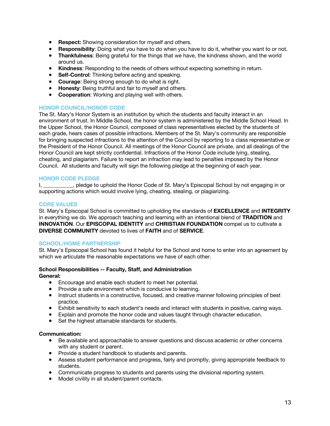- **Respect:** Showing consideration for myself and others.
- **Responsibility**: Doing what you have to do when you have to do it, whether you want to or not.
- **Thankfulness**: Being grateful for the things that we have, the kindness shown, and the world around us.
- **Kindness**: Responding to the needs of others without expecting something in return.
- **Self-Control**: Thinking before acting and speaking.
- **Courage**: Being strong enough to do what is right.
- **Honesty**: Being truthful and fair to myself and others.
- **Cooperation**: Working and playing well with others.

## **HONOR COUNCIL/HONOR CODE**

The St. Mary's Honor System is an institution by which the students and faculty interact in an environment of trust. In Middle School, the honor system is administered by the Middle School Head. In the Upper School, the Honor Council, composed of class representatives elected by the students of each grade, hears cases of possible infractions. Members of the St. Mary's community are responsible for bringing suspected infractions to the attention of the Council by reporting to a class representative or the President of the Honor Council. All meetings of the Honor Council are private, and all dealings of the Honor Council are kept strictly confidential. Infractions of the Honor Code include lying, stealing, cheating, and plagiarism. Failure to report an infraction may lead to penalties imposed by the Honor Council. All students and faculty will sign the following pledge at the beginning of each year.

## **HONOR CODE PLEDGE**

I, \_\_\_\_\_\_\_\_\_\_, pledge to uphold the Honor Code of St. Mary's Episcopal School by not engaging in or supporting actions which would involve lying, cheating, stealing, or plagiarizing.

## **CORE VALUES**

St. Mary's Episcopal School is committed to upholding the standards of **EXCELLENCE** and **INTEGRITY** in everything we do. We approach teaching and learning with an intentional blend of **TRADITION** and **INNOVATION**. Our **EPISCOPAL IDENTITY** and **CHRISTIAN FOUNDATION** compel us to cultivate a **DIVERSE COMMUNITY** devoted to lives of **FAITH** and of **SERVICE**.

## **SCHOOL/HOME PARTNERSHIP**

St. Mary's Episcopal School has found it helpful for the School and home to enter into an agreement by which we articulate the reasonable expectations we have of each other.

## **School Responsibilities -- Faculty, Staff, and Administration**

- **General:** 
	- Encourage and enable each student to meet her potential.
	- Provide a safe environment which is conducive to learning.
	- Instruct students in a constructive, focused, and creative manner following principles of best practice.
	- Exhibit sensitivity to each student's needs and interact with students in positive, caring ways.
	- Explain and promote the honor code and values taught through character education.
	- Set the highest attainable standards for students.

## **Communication:**

- Be available and approachable to answer questions and discuss academic or other concerns with any student or parent.
- Provide a student handbook to students and parents.
- Assess student performance and progress, fairly and promptly, giving appropriate feedback to students.
- Communicate progress to students and parents using the divisional reporting system.
- Model civility in all student/parent contacts.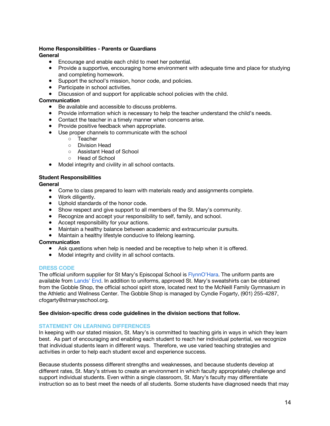## **Home Responsibilities - Parents or Guardians**

## **General**

- Encourage and enable each child to meet her potential.
- Provide a supportive, encouraging home environment with adequate time and place for studying and completing homework.
- Support the school's mission, honor code, and policies.
- Participate in school activities.
- Discussion of and support for applicable school policies with the child.

## **Communication**

- Be available and accessible to discuss problems.
- Provide information which is necessary to help the teacher understand the child's needs.
- Contact the teacher in a timely manner when concerns arise.
- Provide positive feedback when appropriate.
- Use proper channels to communicate with the school
	- Teacher
	- Division Head
	- Assistant Head of School
	- Head of School
- Model integrity and civility in all school contacts.

## **Student Responsibilities**

**General**

- Come to class prepared to learn with materials ready and assignments complete.
- Work diligently.
- Uphold standards of the honor code.
- Show respect and give support to all members of the St. Mary's community.
- Recognize and accept your responsibility to self, family, and school.
- Accept responsibility for your actions.
- Maintain a healthy balance between academic and extracurricular pursuits.
- Maintain a healthy lifestyle conducive to lifelong learning.

#### **Communication**

- Ask questions when help is needed and be receptive to help when it is offered.
- Model integrity and civility in all school contacts.

#### **DRESS CODE**

The official uniform supplier for St Mary's Episcopal School is FlynnO'Hara. The uniform pants are available from Lands' End. In addition to uniforms, approved St. Mary's sweatshirts can be obtained from the Gobble Shop, the official school spirit store, located next to the McNeill Family Gymnasium in the Athletic and Wellness Center. The Gobble Shop is managed by Cyndie Fogarty, (901) 255-4287, cfogarty@stmarysschool.org.

#### **See division-specific dress code guidelines in the division sections that follow.**

#### **STATEMENT ON LEARNING DIFFERENCES**

In keeping with our stated mission, St. Mary's is committed to teaching girls in ways in which they learn best. As part of encouraging and enabling each student to reach her individual potential, we recognize that individual students learn in different ways. Therefore, we use varied teaching strategies and activities in order to help each student excel and experience success.

Because students possess different strengths and weaknesses, and because students develop at different rates, St. Mary's strives to create an environment in which faculty appropriately challenge and support individual students. Even within a single classroom, St. Mary's faculty may differentiate instruction so as to best meet the needs of all students. Some students have diagnosed needs that may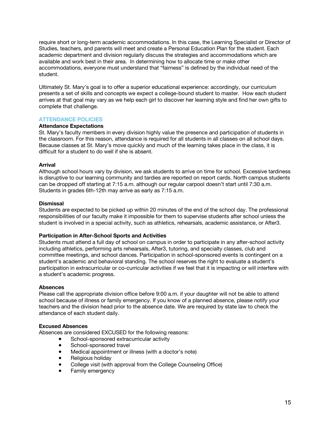require short or long-term academic accommodations. In this case, the Learning Specialist or Director of Studies, teachers, and parents will meet and create a Personal Education Plan for the student. Each academic department and division regularly discuss the strategies and accommodations which are available and work best in their area. In determining how to allocate time or make other accommodations, everyone must understand that "fairness" is defined by the individual need of the student.

Ultimately St. Mary's goal is to offer a superior educational experience: accordingly, our curriculum presents a set of skills and concepts we expect a college-bound student to master. How each student arrives at that goal may vary as we help each girl to discover her learning style and find her own gifts to complete that challenge.

## **ATTENDANCE POLICIES**

## **Attendance Expectations**

St. Mary's faculty members in every division highly value the presence and participation of students in the classroom. For this reason, attendance is required for all students in all classes on all school days. Because classes at St. Mary's move quickly and much of the learning takes place in the class, it is difficult for a student to do well if she is absent.

## **Arrival**

Although school hours vary by division, we ask students to arrive on time for school. Excessive tardiness is disruptive to our learning community and tardies are reported on report cards. North campus students can be dropped off starting at 7:15 a.m. although our regular carpool doesn't start until 7:30 a.m. Students in grades 6th-12th may arrive as early as 7:15 a.m.

## **Dismissal**

Students are expected to be picked up within 20 minutes of the end of the school day. The professional responsibilities of our faculty make it impossible for them to supervise students after school unless the student is involved in a special activity, such as athletics, rehearsals, academic assistance, or After3.

## **Participation in After-School Sports and Activities**

Students must attend a full day of school on campus in order to participate in any after-school activity including athletics, performing arts rehearsals, After3, tutoring, and specialty classes, club and committee meetings, and school dances. Participation in school-sponsored events is contingent on a student's academic and behavioral standing. The school reserves the right to evaluate a student's participation in extracurricular or co-curricular activities if we feel that it is impacting or will interfere with a student's academic progress.

#### **Absences**

Please call the appropriate division office before 9:00 a.m. if your daughter will not be able to attend school because of illness or family emergency. If you know of a planned absence, please notify your teachers and the division head prior to the absence date. We are required by state law to check the attendance of each student daily.

#### **Excused Absences**

Absences are considered EXCUSED for the following reasons:

- School-sponsored extracurricular activity
- **•** School-sponsored travel
- Medical appointment or illness (with a doctor's note)
- Religious holiday
- College visit (with approval from the College Counseling Office)
- Family emergency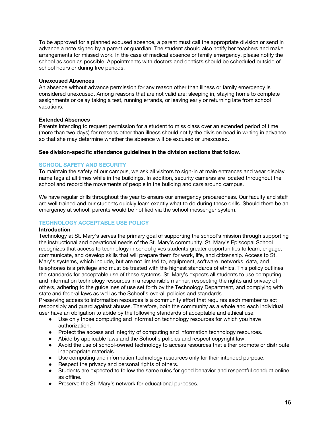To be approved for a planned excused absence, a parent must call the appropriate division or send in advance a note signed by a parent or guardian. The student should also notify her teachers and make arrangements for missed work. In the case of medical absence or family emergency, please notify the school as soon as possible. Appointments with doctors and dentists should be scheduled outside of school hours or during free periods.

## **Unexcused Absences**

An absence without advance permission for any reason other than illness or family emergency is considered unexcused. Among reasons that are not valid are: sleeping in, staying home to complete assignments or delay taking a test, running errands, or leaving early or returning late from school vacations.

## **Extended Absences**

Parents intending to request permission for a student to miss class over an extended period of time (more than two days) for reasons other than illness should notify the division head in writing in advance so that she may determine whether the absence will be excused or unexcused.

## **See division-specific attendance guidelines in the division sections that follow.**

## **SCHOOL SAFETY AND SECURITY**

To maintain the safety of our campus, we ask all visitors to sign-in at main entrances and wear display name tags at all times while in the buildings. In addition, security cameras are located throughout the school and record the movements of people in the building and cars around campus.

We have regular drills throughout the year to ensure our emergency preparedness. Our faculty and staff are well trained and our students quickly learn exactly what to do during these drills. Should there be an emergency at school, parents would be notified via the school messenger system.

## **TECHNOLOGY ACCEPTABLE USE POLICY**

#### **Introduction**

Technology at St. Mary's serves the primary goal of supporting the school's mission through supporting the instructional and operational needs of the St. Mary's community. St. Mary's Episcopal School recognizes that access to technology in school gives students greater opportunities to learn, engage, communicate, and develop skills that will prepare them for work, life, and citizenship. Access to St. Mary's systems, which include, but are not limited to, equipment, software, networks, data, and telephones is a privilege and must be treated with the highest standards of ethics. This policy outlines the standards for acceptable use of these systems. St. Mary's expects all students to use computing and information technology resources in a responsible manner, respecting the rights and privacy of others, adhering to the guidelines of use set forth by the Technology Department, and complying with state and federal laws as well as the School's overall policies and standards.

Preserving access to information resources is a community effort that requires each member to act responsibly and guard against abuses. Therefore, both the community as a whole and each individual user have an obligation to abide by the following standards of acceptable and ethical use:

- Use only those computing and information technology resources for which you have authorization.
- Protect the access and integrity of computing and information technology resources.
- Abide by applicable laws and the School's policies and respect copyright law.
- Avoid the use of school-owned technology to access resources that either promote or distribute inappropriate materials.
- Use computing and information technology resources only for their intended purpose.
- Respect the privacy and personal rights of others.
- Students are expected to follow the same rules for good behavior and respectful conduct online as offline.
- Preserve the St. Mary's network for educational purposes.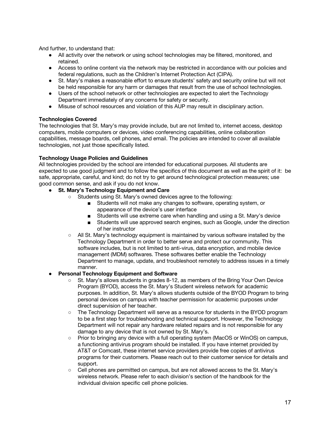And further, to understand that:

- All activity over the network or using school technologies may be filtered, monitored, and retained.
- Access to online content via the network may be restricted in accordance with our policies and federal regulations, such as the Children's Internet Protection Act (CIPA).
- St. Mary's makes a reasonable effort to ensure students' safety and security online but will not be held responsible for any harm or damages that result from the use of school technologies.
- Users of the school network or other technologies are expected to alert the Technology Department immediately of any concerns for safety or security.
- Misuse of school resources and violation of this AUP may result in disciplinary action.

## **Technologies Covered**

The technologies that St. Mary's may provide include, but are not limited to, internet access, desktop computers, mobile computers or devices, video conferencing capabilities, online collaboration capabilities, message boards, cell phones, and email. The policies are intended to cover all available technologies, not just those specifically listed.

## **Technology Usage Policies and Guidelines**

All technologies provided by the school are intended for educational purposes. All students are expected to use good judgment and to follow the specifics of this document as well as the spirit of it: be safe, appropriate, careful, and kind; do not try to get around technological protection measures; use good common sense, and ask if you do not know.

## ● **St. Mary's Technology Equipment and Care**

- Students using St. Mary's owned devices agree to the following:
	- Students will not make any changes to software, operating system, or appearance of the device's user interface
	- Students will use extreme care when handling and using a St. Mary's device
	- Students will use approved search engines, such as Google, under the direction of her instructor
- All St. Mary's technology equipment is maintained by various software installed by the Technology Department in order to better serve and protect our community. This software includes, but is not limited to anti-virus, data encryption, and mobile device management (MDM) softwares. These softwares better enable the Technology Department to manage, update, and troubleshoot remotely to address issues in a timely manner.

#### **Personal Technology Equipment and Software**

- St. Mary's allows students in grades 8-12, as members of the Bring Your Own Device Program (BYOD), access the St. Mary's Student wireless network for academic purposes. In addition, St. Mary's allows students outside of the BYOD Program to bring personal devices on campus with teacher permission for academic purposes under direct supervision of her teacher.
- The Technology Department will serve as a resource for students in the BYOD program to be a first step for troubleshooting and technical support. However, the Technology Department will not repair any hardware related repairs and is not responsible for any damage to any device that is not owned by St. Mary's.
- Prior to bringing any device with a full operating system (MacOS or WinOS) on campus, a functioning antivirus program should be installed. If you have internet provided by AT&T or Comcast, these internet service providers provide free copies of antivirus programs for their customers. Please reach out to their customer service for details and support.
- Cell phones are permitted on campus, but are not allowed access to the St. Mary's wireless network. Please refer to each division's section of the handbook for the individual division specific cell phone policies.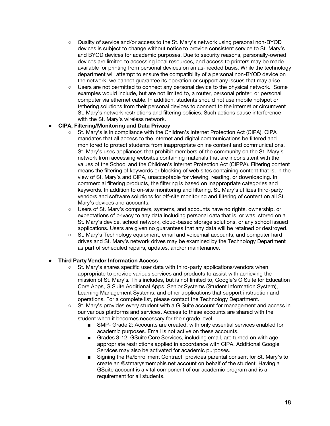- Quality of service and/or access to the St. Mary's network using personal non-BYOD devices is subject to change without notice to provide consistent service to St. Mary's and BYOD devices for academic purposes. Due to security reasons, personally-owned devices are limited to accessing local resources, and access to printers may be made available for printing from personal devices on an as-needed basis. While the technology department will attempt to ensure the compatibility of a personal non-BYOD device on the network, we cannot guarantee its operation or support any issues that may arise.
- Users are not permitted to connect any personal device to the physical network. Some examples would include, but are not limited to, a router, personal printer, or personal computer via ethernet cable. In addition, students should not use mobile hotspot or tethering solutions from their personal devices to connect to the internet or circumvent St. Mary's network restrictions and filtering policies. Such actions cause interference with the St. Mary's wireless network.

## ● **CIPA, Filtering/Monitoring and Data Privacy**

- St. Mary's is in compliance with the Children's Internet Protection Act (CIPA). CIPA mandates that all access to the internet and digital communications be filtered and monitored to protect students from inappropriate online content and communications. St. Mary's uses appliances that prohibit members of the community on the St. Mary's network from accessing websites containing materials that are inconsistent with the values of the School and the Children's Internet Protection Act (CIPPA). Filtering content means the filtering of keywords or blocking of web sites containing content that is, in the view of St. Mary's and CIPA, unacceptable for viewing, reading, or downloading. In commercial filtering products, the filtering is based on inappropriate categories and keywords. In addition to on-site monitoring and filtering, St. Mary's utilizes third-party vendors and software solutions for off-site monitoring and filtering of content on all St. Mary's devices and accounts.
- Users of St. Mary's computers, systems, and accounts have no rights, ownership, or expectations of privacy to any data including personal data that is, or was, stored on a St. Mary's device, school network, cloud-based storage solutions, or any school issued applications. Users are given no guarantees that any data will be retained or destroyed.
- St. Mary's Technology equipment, email and voicemail accounts, and computer hard drives and St. Mary's network drives may be examined by the Technology Department as part of scheduled repairs, updates, and/or maintenance.

## **Third Party Vendor Information Access**

- St. Mary's shares specific user data with third-party applications/vendors when appropriate to provide various services and products to assist with achieving the mission of St. Mary's*.* This includes, but is not limited to, Google's G Suite for Education Core Apps, G Suite Additional Apps, Senior Systems (Student Information System), Learning Management Systems, and other applications that support instruction and operations. For a complete list, please contact the Technology Department.
- St. Mary's provides every student with a G Suite account for management and access in our various platforms and services. Access to these accounts are shared with the student when it becomes necessary for their grade level.
	- SMP- Grade 2: Accounts are created, with only essential services enabled for academic purposes. Email is not active on these accounts.
	- Grades 3-12: GSuite Core Services, including email, are turned on with age appropriate restrictions applied in accordance with CIPA. Additional Google Services may also be activated for academic purposes.
	- Signing the Re/Enrollment Contract provides parental consent for St. Mary's to create an @stmarysmemphis.net account on behalf of the student. Having a GSuite account is a vital component of our academic program and is a requirement for all students.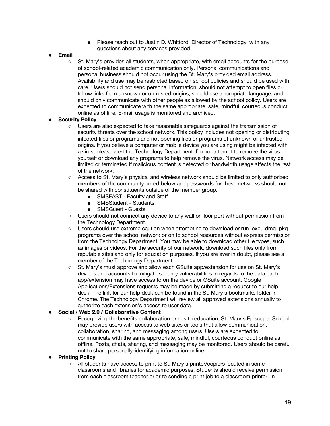- Please reach out to Justin D. Whitford, Director of Technology, with any questions about any services provided.
- **Email**
	- St. Mary's provides all students, when appropriate, with email accounts for the purpose of school-related academic communication only. Personal communications and personal business should not occur using the St. Mary's provided email address. Availability and use may be restricted based on school policies and should be used with care. Users should not send personal information, should not attempt to open files or follow links from unknown or untrusted origins, should use appropriate language, and should only communicate with other people as allowed by the school policy. Users are expected to communicate with the same appropriate, safe, mindful, courteous conduct online as offline. E-mail usage is monitored and archived.

## **Security Policy**

- Users are also expected to take reasonable safeguards against the transmission of security threats over the school network. This policy includes not opening or distributing infected files or programs and not opening files or programs of unknown or untrusted origins. If you believe a computer or mobile device you are using might be infected with a virus, please alert the Technology Department. Do not attempt to remove the virus yourself or download any programs to help remove the virus. Network access may be limited or terminated if malicious content is detected or bandwidth usage affects the rest of the network.
- Access to St. Mary's physical and wireless network should be limited to only authorized members of the community noted below and passwords for these networks should not be shared with constituents outside of the member group.
	- SMSFAST Faculty and Staff
	- SMSStudent Students
	- SMSGuest Guests
- Users should not connect any device to any wall or floor port without permission from the Technology Department.
- Users should use extreme caution when attempting to download or run .exe, .dmg. pkg programs over the school network or on to school resources without express permission from the Technology Department. You may be able to download other file types, such as images or videos. For the security of our network, download such files only from reputable sites and only for education purposes. If you are ever in doubt, please see a member of the Technology Department.
- St. Mary's must approve and allow each GSuite app/extension for use on St. Mary's devices and accounts to mitigate security vulnerabilities in regards to the data each app/extension may have access to on the device or GSuite account. Google Applications/Extensions requests may be made by submitting a request to our help desk. The link for our help desk can be found in the St. Mary's bookmarks folder in Chrome. The Technology Department will review all approved extensions annually to authorize each extension's access to user data.

## ● **Social / Web 2.0 / Collaborative Content**

○ Recognizing the benefits collaboration brings to education, St. Mary's Episcopal School may provide users with access to web sites or tools that allow communication, collaboration, sharing, and messaging among users. Users are expected to communicate with the same appropriate, safe, mindful, courteous conduct online as offline. Posts, chats, sharing, and messaging may be monitored. Users should be careful not to share personally-identifying information online.

## **Printing Policy**

○ All students have access to print to St. Mary's printer/copiers located in some classrooms and libraries for academic purposes. Students should receive permission from each classroom teacher prior to sending a print job to a classroom printer. In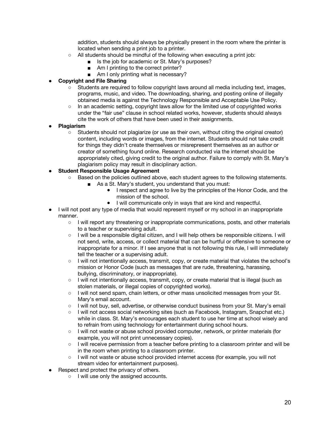addition, students should always be physically present in the room where the printer is located when sending a print job to a printer.

- All students should be mindful of the following when executing a print job:
	- Is the job for academic or St. Mary's purposes?
	- Am I printing to the correct printer?
	- Am I only printing what is necessary?

## **Copyright and File Sharing**

- Students are required to follow copyright laws around all media including text, images, programs, music, and video. The downloading, sharing, and posting online of illegally obtained media is against the Technology Responsible and Acceptable Use Policy.
- In an academic setting, copyright laws allow for the limited use of copyrighted works under the "fair use" clause in school related works, however, students should always cite the work of others that have been used in their assignments.

## ● **Plagiarism**

○ Students should not plagiarize (or use as their own, without citing the original creator) content, including words or images, from the internet. Students should not take credit for things they didn't create themselves or misrepresent themselves as an author or creator of something found online. Research conducted via the internet should be appropriately cited, giving credit to the original author. Failure to comply with St. Mary's plagiarism policy may result in disciplinary action.

## **Student Responsible Usage Agreement**

- Based on the policies outlined above, each student agrees to the following statements.
	- As a St. Mary's student, you understand that you must:
		- I respect and agree to live by the principles of the Honor Code, and the mission of the school.
		- I will communicate only in ways that are kind and respectful.
- I will not post any type of media that would represent myself or my school in an inappropriate manner.
	- I will report any threatening or inappropriate communications, posts, and other materials to a teacher or supervising adult.
	- I will be a responsible digital citizen, and I will help others be responsible citizens. I will not send, write, access, or collect material that can be hurtful or offensive to someone or inappropriate for a minor. If I see anyone that is not following this rule, I will immediately tell the teacher or a supervising adult.
	- I will not intentionally access, transmit, copy, or create material that violates the school's mission or Honor Code (such as messages that are rude, threatening, harassing, bullying, discriminatory, or inappropriate).
	- I will not intentionally access, transmit, copy, or create material that is illegal (such as stolen materials, or illegal copies of copyrighted works).
	- I will not send spam, chain letters, or other mass unsolicited messages from your St. Mary's email account.
	- I will not buy, sell, advertise, or otherwise conduct business from your St. Mary's email
	- I will not access social networking sites (such as Facebook, Instagram, Snapchat etc.) while in class. St. Mary's encourages each student to use her time at school wisely and to refrain from using technology for entertainment during school hours.
	- I will not waste or abuse school provided computer, network, or printer materials (for example, you will not print unnecessary copies).
	- I will receive permission from a teacher before printing to a classroom printer and will be in the room when printing to a classroom printer.
	- I will not waste or abuse school provided internet access (for example, you will not stream video for entertainment purposes).
- Respect and protect the privacy of others.
	- I will use only the assigned accounts.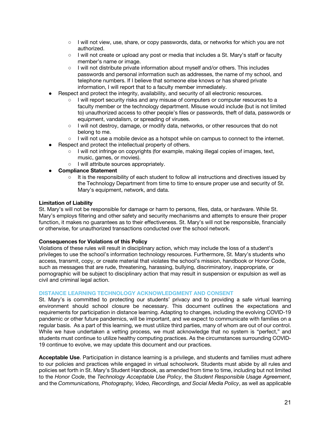- I will not view, use, share, or copy passwords, data, or networks for which you are not authorized.
- I will not create or upload any post or media that includes a St. Mary's staff or faculty member's name or image.
- I will not distribute private information about myself and/or others. This includes passwords and personal information such as addresses, the name of my school, and telephone numbers. If I believe that someone else knows or has shared private information, I will report that to a faculty member immediately.
- Respect and protect the integrity, availability, and security of all electronic resources.
	- I will report security risks and any misuse of computers or computer resources to a faculty member or the technology department. Misuse would include (but is not limited to) unauthorized access to other people's files or passwords, theft of data, passwords or equipment, vandalism, or spreading of viruses.
	- I will not destroy, damage, or modify data, networks, or other resources that do not belong to me.
	- I will not use a mobile device as a hotspot while on campus to connect to the internet.
- Respect and protect the intellectual property of others.
	- I will not infringe on copyrights (for example, making illegal copies of images, text, music, games, or movies).
	- I will attribute sources appropriately.
- **Compliance Statement**
	- It is the responsibility of each student to follow all instructions and directives issued by the Technology Department from time to time to ensure proper use and security of St. Mary's equipment, network, and data.

## **Limitation of Liability**

St. Mary's will not be responsible for damage or harm to persons, files, data, or hardware. While St. Mary's employs filtering and other safety and security mechanisms and attempts to ensure their proper function, it makes no guarantees as to their effectiveness. St. Mary's will not be responsible, financially or otherwise, for unauthorized transactions conducted over the school network.

#### **Consequences for Violations of this Policy**

Violations of these rules will result in disciplinary action, which may include the loss of a student's privileges to use the school's information technology resources. Furthermore, St. Mary's students who access, transmit, copy, or create material that violates the school's mission, handbook or Honor Code, such as messages that are rude, threatening, harassing, bullying, discriminatory, inappropriate, or pornographic will be subject to disciplinary action that may result in suspension or expulsion as well as civil and criminal legal action.

## **DISTANCE LEARNING TECHNOLOGY ACKNOWLEDGMENT AND CONSENT**

St. Mary's is committed to protecting our students' privacy and to providing a safe virtual learning environment should school closure be necessary. This document outlines the expectations and requirements for participation in distance learning. Adapting to changes, including the evolving COVID-19 pandemic or other future pandemics, will be important, and we expect to communicate with families on a regular basis. As a part of this learning, we must utilize third parties, many of whom are out of our control. While we have undertaken a vetting process, we must acknowledge that no system is "perfect," and students must continue to utilize healthy computing practices. As the circumstances surrounding COVID-19 continue to evolve, we may update this document and our practices.

**Acceptable Use**. Participation in distance learning is a privilege, and students and families must adhere to our policies and practices while engaged in virtual schoolwork. Students must abide by all rules and policies set forth in St. Mary's Student Handbook, as amended from time to time, including but not limited to the *Honor Code*, the *Technology Acceptable Use Policy*, the *Student Responsible Usage Agreement*, and the *Communications, Photography, Video, Recordings, and Social Media Policy*, as well as applicable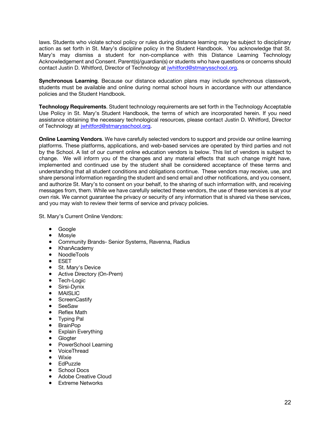laws. Students who violate school policy or rules during distance learning may be subject to disciplinary action as set forth in St. Mary's discipline policy in the Student Handbook. You acknowledge that St. Mary's may dismiss a student for non-compliance with this Distance Learning Technology Acknowledgement and Consent. Parent(s)/guardian(s) or students who have questions or concerns should contact Justin D. Whitford, Director of Technology at jwhitford@stmarysschool.org.

**Synchronous Learning**. Because our distance education plans may include synchronous classwork, students must be available and online during normal school hours in accordance with our attendance policies and the Student Handbook.

**Technology Requirements**. Student technology requirements are set forth in the Technology Acceptable Use Policy in St. Mary's Student Handbook, the terms of which are incorporated herein. If you need assistance obtaining the necessary technological resources, please contact Justin D. Whitford, Director of Technology at jwhitford@stmarysschool.org.

**Online Learning Vendors**. We have carefully selected vendors to support and provide our online learning platforms. These platforms, applications, and web-based services are operated by third parties and not by the School. A list of our current online education vendors is below. This list of vendors is subject to change. We will inform you of the changes and any material effects that such change might have, implemented and continued use by the student shall be considered acceptance of these terms and understanding that all student conditions and obligations continue. These vendors may receive, use, and share personal information regarding the student and send email and other notifications, and you consent, and authorize St. Mary's to consent on your behalf, to the sharing of such information with, and receiving messages from, them. While we have carefully selected these vendors, the use of these services is at your own risk. We cannot guarantee the privacy or security of any information that is shared via these services, and you may wish to review their terms of service and privacy policies.

St. Mary's Current Online Vendors:

- Google
- Mosyle
- Community Brands- Senior Systems, Ravenna, Radius
- KhanAcademy
- NoodleTools
- ESET
- St. Mary's Device
- Active Directory (On-Prem)
- Tech-Logic
- Sirsi-Dynix
- MAISLIC
- ScreenCastify
- SeeSaw
- **Reflex Math**
- Typing Pal
- **BrainPop**
- Explain Everything
- Glogter
- PowerSchool Learning
- VoiceThread
- Wixie
- **EdPuzzle**
- School Docs
- Adobe Creative Cloud
- Extreme Networks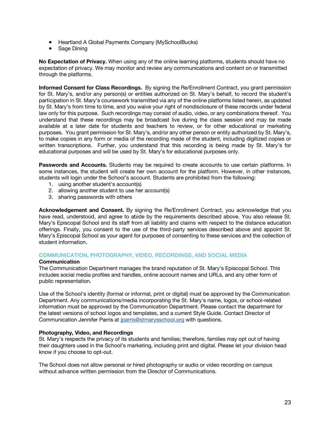- Heartland A Global Payments Company (MySchoolBucks)
- Sage Dining

**No Expectation of Privacy.** When using any of the online learning platforms, students should have no expectation of privacy. We may monitor and review any communications and content on or transmitted through the platforms.

**Informed Consent for Class Recordings.** By signing the Re/Enrollment Contract, you grant permission for St. Mary's, and/or any person(s) or entities authorized on St. Mary's behalf, to record the student's participation in St. Mary's coursework transmitted via any of the online platforms listed herein, as updated by St. Mary's from time to time, and you waive your right of nondisclosure of these records under federal law only for this purpose. Such recordings may consist of audio, video, or any combinations thereof. You understand that these recordings may be broadcast live during the class session and may be made available at a later date for students and teachers to review, or for other educational or marketing purposes. You grant permission for St. Mary's, and/or any other person or entity authorized by St. Mary's, to make copies in any form or media of the recording made of the student, including digitized copies or written transcriptions. Further, you understand that this recording is being made by St. Mary's for educational purposes and will be used by St. Mary's for educational purposes only.

**Passwords and Accounts.** Students may be required to create accounts to use certain platforms. In some instances, the student will create her own account for the platform. However, in other instances, students will login under the School's account. Students are prohibited from the following:

- 1. using another student's account(s)
- 2. allowing another student to use her account(s)
- 3. sharing passwords with others

**Acknowledgement and Consent.** By signing the Re/Enrollment Contract, you acknowledge that you have read, understood, and agree to abide by the requirements described above. You also release St. Mary's Episcopal School and its staff from all liability and claims with respect to the distance education offerings. Finally, you consent to the use of the third-party services described above and appoint St. Mary's Episcopal School as your agent for purposes of consenting to these services and the collection of student information.

## **COMMUNICATION, PHOTOGRAPHY, VIDEO, RECORDINGS, AND SOCIAL MEDIA**

#### **Communication**

The Communication Department manages the brand reputation of St. Mary's Episcopal School. This includes social media profiles and handles, online account names and URLs, and any other form of public representation.

Use of the School's identity (formal or informal, print or digital) must be approved by the Communication Department. Any communications/media incorporating the St. Mary's name, logos, or school-related information must be approved by the Communication Department. Please contact the department for the latest versions of school logos and templates, and a current Style Guide. Contact Director of Communication Jennifer Parris at jparris@stmarysschool.org with questions.

### **Photography, Video, and Recordings**

St. Mary's respects the privacy of its students and families; therefore, families may opt out of having their daughters used in the School's marketing, including print and digital. Please let your division head know if you choose to opt-out.

The School does not allow personal or hired photography or audio or video recording on campus without advance written permission from the Director of Communications.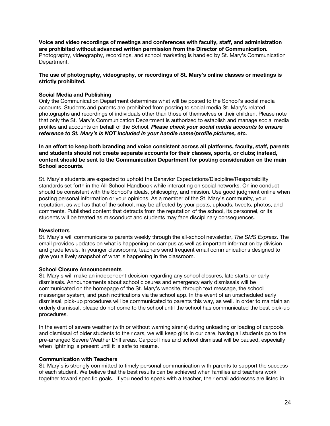**Voice and video recordings of meetings and conferences with faculty, staff, and administration are prohibited without advanced written permission from the Director of Communication.**  Photography, videography, recordings, and school marketing is handled by St. Mary's Communication Department.

## **The use of photography, videography, or recordings of St. Mary's online classes or meetings is strictly prohibited.**

## **Social Media and Publishing**

Only the Communication Department determines what will be posted to the School's social media accounts. Students and parents are prohibited from posting to social media St. Mary's related photographs and recordings of individuals other than those of themselves or their children. Please note that only the St. Mary's Communication Department is authorized to establish and manage social media profiles and accounts on behalf of the School. *Please check your social media accounts to ensure reference to St. Mary's is NOT included in your handle name/profile pictures, etc.* 

## **In an effort to keep both branding and voice consistent across all platforms, faculty, staff, parents and students should not create separate accounts for their classes, sports, or clubs; instead, content should be sent to the Communication Department for posting consideration on the main School accounts.**

St. Mary's students are expected to uphold the Behavior Expectations/Discipline/Responsibility standards set forth in the All-School Handbook while interacting on social networks. Online conduct should be consistent with the School's ideals, philosophy, and mission. Use good judgment online when posting personal information or your opinions. As a member of the St. Mary's community, your reputation, as well as that of the school, may be affected by your posts, uploads, tweets, photos, and comments. Published content that detracts from the reputation of the school, its personnel, or its students will be treated as misconduct and students may face disciplinary consequences.

#### **Newsletters**

St. Mary's will communicate to parents weekly through the all-school newsletter, *The SMS Express*. The email provides updates on what is happening on campus as well as important information by division and grade levels. In younger classrooms, teachers send frequent email communications designed to give you a lively snapshot of what is happening in the classroom.

#### **School Closure Announcements**

St. Mary's will make an independent decision regarding any school closures, late starts, or early dismissals. Announcements about school closures and emergency early dismissals will be communicated on the homepage of the St. Mary's website, through text message, the school messenger system, and push notifications via the school app. In the event of an unscheduled early dismissal, pick-up procedures will be communicated to parents this way, as well. In order to maintain an orderly dismissal, please do not come to the school until the school has communicated the best pick-up procedures.

In the event of severe weather (with or without warning sirens) during unloading or loading of carpools and dismissal of older students to their cars, we will keep girls in our care, having all students go to the pre-arranged Severe Weather Drill areas. Carpool lines and school dismissal will be paused, especially when lightning is present until it is safe to resume.

#### **Communication with Teachers**

St. Mary's is strongly committed to timely personal communication with parents to support the success of each student. We believe that the best results can be achieved when families and teachers work together toward specific goals. If you need to speak with a teacher, their email addresses are listed in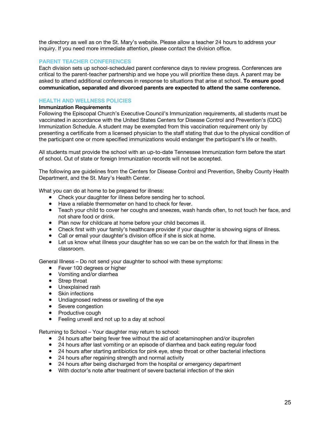the directory as well as on the St. Mary's website. Please allow a teacher 24 hours to address your inquiry. If you need more immediate attention, please contact the division office.

## **PARENT TEACHER CONFERENCES**

Each division sets up school-scheduled parent conference days to review progress. Conferences are critical to the parent-teacher partnership and we hope you will prioritize these days. A parent may be asked to attend additional conferences in response to situations that arise at school. **To ensure good communication, separated and divorced parents are expected to attend the same conference.** 

## **HEALTH AND WELLNESS POLICIES**

#### **Immunization Requirements**

Following the Episcopal Church's Executive Council's Immunization requirements, all students must be vaccinated in accordance with the United States Centers for Disease Control and Prevention's (CDC) Immunization Schedule. A student may be exempted from this vaccination requirement only by presenting a certificate from a licensed physician to the staff stating that due to the physical condition of the participant one or more specified immunizations would endanger the participant's life or health.

All students must provide the school with an up-to-date Tennessee Immunization form before the start of school. Out of state or foreign Immunization records will not be accepted.

The following are guidelines from the Centers for Disease Control and Prevention, Shelby County Health Department, and the St. Mary's Health Center.

What you can do at home to be prepared for illness:

- Check your daughter for illness before sending her to school.
- Have a reliable thermometer on hand to check for fever.
- Teach your child to cover her coughs and sneezes, wash hands often, to not touch her face, and not share food or drink.
- Plan now for childcare at home before your child becomes ill.
- Check first with your family's healthcare provider if your daughter is showing signs of illness.
- Call or email your daughter's division office if she is sick at home.
- Let us know what illness your daughter has so we can be on the watch for that illness in the classroom.

General Illness – Do not send your daughter to school with these symptoms:

- Fever 100 degrees or higher
- Vomiting and/or diarrhea
- Strep throat
- Unexplained rash
- Skin infections
- Undiagnosed redness or swelling of the eye
- Severe congestion
- Productive cough
- Feeling unwell and not up to a day at school

Returning to School – Your daughter may return to school:

- 24 hours after being fever free without the aid of acetaminophen and/or ibuprofen
- 24 hours after last vomiting or an episode of diarrhea and back eating regular food
- 24 hours after starting antibiotics for pink eye, strep throat or other bacterial infections
- 24 hours after regaining strength and normal activity
- 24 hours after being discharged from the hospital or emergency department
- With doctor's note after treatment of severe bacterial infection of the skin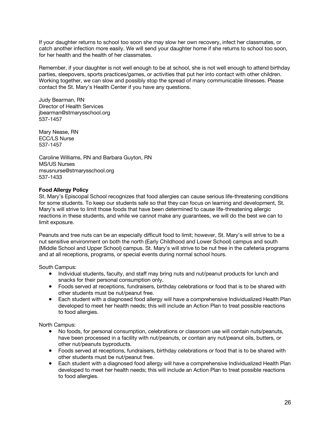If your daughter returns to school too soon she may slow her own recovery, infect her classmates, or catch another infection more easily. We will send your daughter home if she returns to school too soon, for her health and the health of her classmates.

Remember, if your daughter is not well enough to be at school, she is not well enough to attend birthday parties, sleepovers, sports practices/games, or activities that put her into contact with other children. Working together, we can slow and possibly stop the spread of many communicable illnesses. Please contact the St. Mary's Health Center if you have any questions.

Judy Bearman, RN Director of Health Services jbearman@stmarysschool.org 537-1457

Mary Nease, RN ECC/LS Nurse 537-1457

Caroline Williams, RN and Barbara Guyton, RN MS/US Nurses msusnurse@stmarysschool.org 537-1433

## **Food Allergy Policy**

St. Mary's Episcopal School recognizes that food allergies can cause serious life-threatening conditions for some students. To keep our students safe so that they can focus on learning and development, St. Mary's will strive to limit those foods that have been determined to cause life-threatening allergic reactions in these students, and while we cannot make any guarantees, we will do the best we can to limit exposure.

Peanuts and tree nuts can be an especially difficult food to limit; however, St. Mary's will strive to be a nut sensitive environment on both the north (Early Childhood and Lower School) campus and south (Middle School and Upper School) campus. St. Mary's will strive to be nut free in the cafeteria programs and at all receptions, programs, or special events during normal school hours.

South Campus:

- Individual students, faculty, and staff may bring nuts and nut/peanut products for lunch and snacks for their personal consumption only.
- Foods served at receptions, fundraisers, birthday celebrations or food that is to be shared with other students must be nut/peanut free.
- Each student with a diagnosed food allergy will have a comprehensive Individualized Health Plan developed to meet her health needs; this will include an Action Plan to treat possible reactions to food allergies.

North Campus:

- No foods, for personal consumption, celebrations or classroom use will contain nuts/peanuts, have been processed in a facility with nut/peanuts, or contain any nut/peanut oils, butters, or other nut/peanuts byproducts.
- Foods served at receptions, fundraisers, birthday celebrations or food that is to be shared with other students must be nut/peanut free.
- Each student with a diagnosed food allergy will have a comprehensive Individualized Health Plan developed to meet her health needs; this will include an Action Plan to treat possible reactions to food allergies.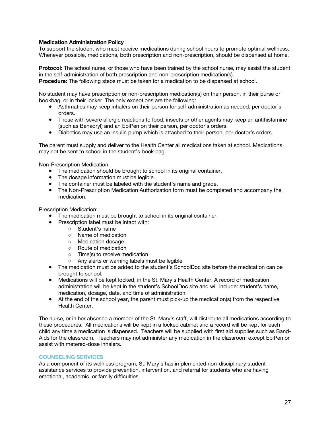## **Medication Administration Policy**

To support the student who must receive medications during school hours to promote optimal wellness. Whenever possible, medications, both prescription and non-prescription, should be dispensed at home.

**Protocol:** The school nurse, or those who have been trained by the school nurse, may assist the student in the self-administration of both prescription and non-prescription medication(s).

**Procedure:** The following steps must be taken for a medication to be dispensed at school.

No student may have prescription or non-prescription medication(s) on their person, in their purse or bookbag, or in their locker. The only exceptions are the following:

- Asthmatics may keep inhalers on their person for self-administration as needed, per doctor's orders.
- Those with severe allergic reactions to food, insects or other agents may keep an antihistamine (such as Benadryl) and an EpiPen on their person, per doctor's orders.
- Diabetics may use an insulin pump which is attached to their person, per doctor's orders.

The parent must supply and deliver to the Health Center all medications taken at school. Medications may not be sent to school in the student's book bag.

Non-Prescription Medication:

- The medication should be brought to school in its original container.
- The dosage information must be legible.
- The container must be labeled with the student's name and grade.
- The Non-Prescription Medication Authorization form must be completed and accompany the medication.

Prescription Medication:

- The medication must be brought to school in its original container.
- Prescription label must be intact with:
	- Student's name
	- Name of medication
	- Medication dosage
	- Route of medication
	- Time(s) to receive medication
	- Any alerts or warning labels must be legible
- The medication must be added to the student's SchoolDoc site before the medication can be brought to school.
- Medications will be kept locked, in the St. Mary's Health Center. A record of medication administration will be kept in the student's SchoolDoc site and will include: student's name, medication, dosage, date, and time of administration.
- At the end of the school year, the parent must pick-up the medication(s) from the respective Health Center.

The nurse, or in her absence a member of the St. Mary's staff, will distribute all medications according to these procedures. All medications will be kept in a locked cabinet and a record will be kept for each child any time a medication is dispensed. Teachers will be supplied with first aid supplies such as Band-Aids for the classroom. Teachers may not administer any medication in the classroom except EpiPen or assist with metered-dose inhalers.

#### **COUNSELING SERVICES**

As a component of its wellness program, St. Mary's has implemented non-disciplinary student assistance services to provide prevention, intervention, and referral for students who are having emotional, academic, or family difficulties.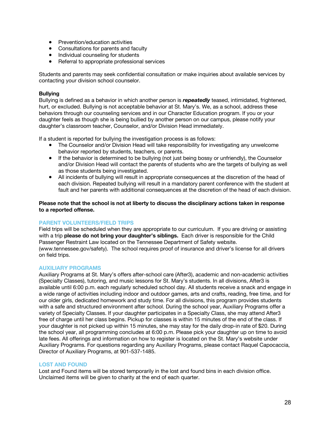- Prevention/education activities
- Consultations for parents and faculty
- Individual counseling for students
- Referral to appropriate professional services

Students and parents may seek confidential consultation or make inquiries about available services by contacting your division school counselor.

## **Bullying**

Bullying is defined as a behavior in which another person is *repeatedly* teased, intimidated, frightened, hurt, or excluded. Bullying is not acceptable behavior at St. Mary's. We, as a school, address these behaviors through our counseling services and in our Character Education program. If you or your daughter feels as though she is being bullied by another person on our campus, please notify your daughter's classroom teacher, Counselor, and/or Division Head immediately.

If a student is reported for bullying the investigation process is as follows:

- The Counselor and/or Division Head will take responsibility for investigating any unwelcome behavior reported by students, teachers, or parents.
- If the behavior is determined to be bullying (not just being bossy or unfriendly), the Counselor and/or Division Head will contact the parents of students who are the targets of bullying as well as those students being investigated.
- All incidents of bullying will result in appropriate consequences at the discretion of the head of each division. Repeated bullying will result in a mandatory parent conference with the student at fault and her parents with additional consequences at the discretion of the head of each division.

**Please note that the school is not at liberty to discuss the disciplinary actions taken in response to a reported offense.**

#### **PARENT VOLUNTEERS/FIELD TRIPS**

Field trips will be scheduled when they are appropriate to our curriculum. If you are driving or assisting with a trip **please do not bring your daughter's siblings.** Each driver is responsible for the Child Passenger Restraint Law located on the Tennessee Department of Safety website. (www.tennessee.gov/safety). The school requires proof of insurance and driver's license for all drivers on field trips.

#### **AUXILIARY PROGRAMS**

Auxiliary Programs at St. Mary's offers after-school care (After3), academic and non-academic activities (Specialty Classes), tutoring, and music lessons for St. Mary's students. In all divisions, After3 is available until 6:00 p.m. each regularly scheduled school day. All students receive a snack and engage in a wide range of activities including indoor and outdoor games, arts and crafts, reading, free time, and for our older girls, dedicated homework and study time. For all divisions, this program provides students with a safe and structured environment after school. During the school year, Auxiliary Programs offer a variety of Specialty Classes. If your daughter participates in a Specialty Class, she may attend After3 free of charge until her class begins. Pickup for classes is within 15 minutes of the end of the class. If your daughter is not picked up within 15 minutes, she may stay for the daily drop-in rate of \$20. During the school year, all programming concludes at 6:00 p.m. Please pick your daughter up on time to avoid late fees. All offerings and information on how to register is located on the St. Mary's website under Auxiliary Programs. For questions regarding any Auxiliary Programs, please contact Raquel Capocaccia, Director of Auxiliary Programs, at 901-537-1485.

#### **LOST AND FOUND**

Lost and Found items will be stored temporarily in the lost and found bins in each division office. Unclaimed items will be given to charity at the end of each quarter.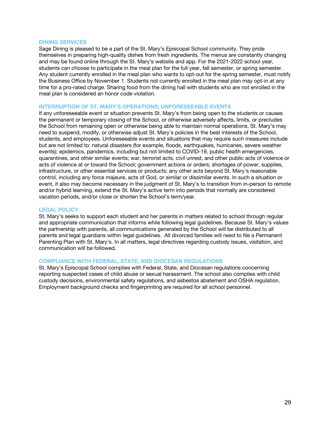## **DINING SERVICES**

Sage Dining is pleased to be a part of the St. Mary's Episcopal School community. They pride themselves in preparing high-quality dishes from fresh ingredients. The menus are constantly changing and may be found online through the St. Mary's website and app. For the 2021-2022 school year, students can choose to participate in the meal plan for the full year, fall semester, or spring semester. Any student currently enrolled in the meal plan who wants to opt-out for the spring semester, must notify the Business Office by November 1. Students not currently enrolled in the meal plan may opt-in at any time for a pro-rated charge. Sharing food from the dining hall with students who are not enrolled in the meal plan is considered an honor code violation.

### **INTERRUPTION OF ST. MARY'S OPERATIONS; UNFORESEEABLE EVENTS**

If any unforeseeable event or situation prevents St. Mary's from being open to the students or causes the permanent or temporary closing of the School, or otherwise adversely affects, limits, or precludes the School from remaining open or otherwise being able to maintain normal operations, St. Mary's may need to suspend, modify, or otherwise adjust St. Mary's policies in the best interests of the School, students, and employees. Unforeseeable events and situations that may require such measures include but are not limited to: natural disasters (for example, floods, earthquakes, hurricanes, severe weather events); epidemics, pandemics, including but not limited to COVID-19, public health emergencies, quarantines, and other similar events; war, terrorist acts, civil unrest, and other public acts of violence or acts of violence at or toward the School; government actions or orders; shortages of power, supplies, infrastructure, or other essential services or products; any other acts beyond St. Mary's reasonable control, including any force majeure, acts of God, or similar or dissimilar events. In such a situation or event, it also may become necessary in the judgment of St. Mary's to transition from in-person to remote and/or hybrid learning, extend the St. Mary's active term into periods that normally are considered vacation periods, and/or close or shorten the School's term/year.

#### **LEGAL POLICY**

St. Mary's seeks to support each student and her parents in matters related to school through regular and appropriate communication that informs while following legal guidelines. Because St. Mary's values the partnership with parents, all communications generated by the School will be distributed to all parents and legal guardians within legal guidelines. All divorced families will need to file a Permanent Parenting Plan with St. Mary's. In all matters, legal directives regarding custody issues, visitation, and communication will be followed.

#### **COMPLIANCE WITH FEDERAL, STATE, AND DIOCESAN REGULATIONS**

St. Mary's Episcopal School complies with Federal, State, and Diocesan regulations concerning reporting suspected cases of child abuse or sexual harassment. The school also complies with child custody decisions, environmental safety regulations, and asbestos abatement and OSHA regulation. Employment background checks and fingerprinting are required for all school personnel.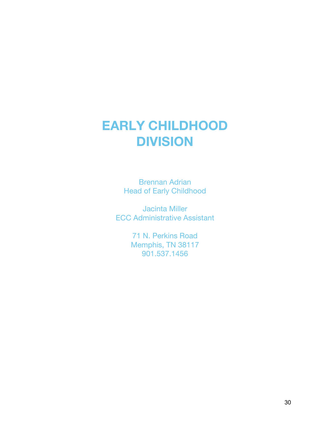## **EARLY CHILDHOOD DIVISION**

Brennan Adrian Head of Early Childhood

Jacinta Miller ECC Administrative Assistant

> 71 N. Perkins Road Memphis, TN 38117 901.537.1456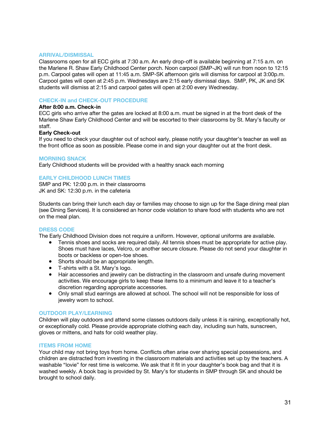### **ARRIVAL/DISMISSAL**

Classrooms open for all ECC girls at 7:30 a.m. An early drop-off is available beginning at 7:15 a.m. on the Marlene R. Shaw Early Childhood Center porch. Noon carpool (SMP-JK) will run from noon to 12:15 p.m. Carpool gates will open at 11:45 a.m. SMP-SK afternoon girls will dismiss for carpool at 3:00p.m. Carpool gates will open at 2:45 p.m. Wednesdays are 2:15 early dismissal days. SMP, PK, JK and SK students will dismiss at 2:15 and carpool gates will open at 2:00 every Wednesday.

## **CHECK-IN and CHECK-OUT PROCEDURE**

## **After 8:00 a.m. Check-in**

ECC girls who arrive after the gates are locked at 8:00 a.m. must be signed in at the front desk of the Marlene Shaw Early Childhood Center and will be escorted to their classrooms by St. Mary's faculty or staff.

## **Early Check-out**

If you need to check your daughter out of school early, please notify your daughter's teacher as well as the front office as soon as possible. Please come in and sign your daughter out at the front desk.

#### **MORNING SNACK**

Early Childhood students will be provided with a healthy snack each morning

## **EARLY CHILDHOOD LUNCH TIMES**

SMP and PK: 12:00 p.m. in their classrooms JK and SK: 12:30 p.m. in the cafeteria

Students can bring their lunch each day or families may choose to sign up for the Sage dining meal plan (see Dining Services). It is considered an honor code violation to share food with students who are not on the meal plan.

## **DRESS CODE**

The Early Childhood Division does not require a uniform. However, optional uniforms are available.

- Tennis shoes and socks are required daily. All tennis shoes must be appropriate for active play. Shoes must have laces, Velcro, or another secure closure. Please do not send your daughter in boots or backless or open-toe shoes.
- Shorts should be an appropriate length.
- T-shirts with a St. Mary's logo.
- Hair accessories and jewelry can be distracting in the classroom and unsafe during movement activities. We encourage girls to keep these items to a minimum and leave it to a teacher's discretion regarding appropriate accessories.
- Only small stud earrings are allowed at school. The school will not be responsible for loss of jewelry worn to school.

#### **OUTDOOR PLAY/LEARNING**

Children will play outdoors and attend some classes outdoors daily unless it is raining, exceptionally hot, or exceptionally cold. Please provide appropriate clothing each day, including sun hats, sunscreen, gloves or mittens, and hats for cold weather play.

#### **ITEMS FROM HOME**

Your child may not bring toys from home. Conflicts often arise over sharing special possessions, and children are distracted from investing in the classroom materials and activities set up by the teachers. A washable "lovie" for rest time is welcome. We ask that it fit in your daughter's book bag and that it is washed weekly. A book bag is provided by St. Mary's for students in SMP through SK and should be brought to school daily.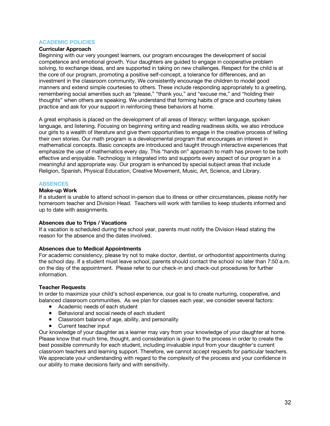## **ACADEMIC POLICIES**

## **Curricular Approach**

Beginning with our very youngest learners, our program encourages the development of social competence and emotional growth. Your daughters are guided to engage in cooperative problem solving, to exchange ideas, and are supported in taking on new challenges. Respect for the child is at the core of our program, promoting a positive self-concept, a tolerance for differences, and an investment in the classroom community. We consistently encourage the children to model good manners and extend simple courtesies to others. These include responding appropriately to a greeting, remembering social amenities such as "please," "thank you," and "excuse me," and "holding their thoughts" when others are speaking. We understand that forming habits of grace and courtesy takes practice and ask for your support in reinforcing these behaviors at home.

A great emphasis is placed on the development of all areas of literacy: written language, spoken language, and listening. Focusing on beginning writing and reading readiness skills, we also introduce our girls to a wealth of literature and give them opportunities to engage in the creative process of telling their own stories. Our math program is a developmental program that encourages an interest in mathematical concepts. Basic concepts are introduced and taught through interactive experiences that emphasize the use of mathematics every day. This "hands on" approach to math has proven to be both effective and enjoyable. Technology is integrated into and supports every aspect of our program in a meaningful and appropriate way. Our program is enhanced by special subject areas that include Religion, Spanish, Physical Education, Creative Movement, Music, Art, Science, and Library.

#### **ABSENCES**

#### **Make-up Work**

If a student is unable to attend school in-person due to illness or other circumstances, please notify her homeroom teacher and Division Head. Teachers will work with families to keep students informed and up to date with assignments.

#### **Absences due to Trips / Vacations**

If a vacation is scheduled during the school year, parents must notify the Division Head stating the reason for the absence and the dates involved.

#### **Absences due to Medical Appointments**

For academic consistency, please try not to make doctor, dentist, or orthodontist appointments during the school day. If a student must leave school, parents should contact the school no later than 7:50 a.m. on the day of the appointment. Please refer to our check-in and check-out procedures for further information.

#### **Teacher Requests**

In order to maximize your child's school experience, our goal is to create nurturing, cooperative, and balanced classroom communities. As we plan for classes each year, we consider several factors:

- Academic needs of each student
- Behavioral and social needs of each student
- Classroom balance of age, ability, and personality
- Current teacher input

Our knowledge of your daughter as a learner may vary from your knowledge of your daughter at home. Please know that much time, thought, and consideration is given to the process in order to create the best possible community for each student, including invaluable input from your daughter's current classroom teachers and learning support. Therefore, we cannot accept requests for particular teachers. We appreciate your understanding with regard to the complexity of the process and your confidence in our ability to make decisions fairly and with sensitivity.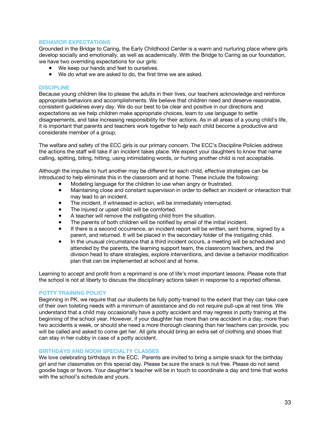## **BEHAVIOR EXPECTATIONS**

Grounded in the Bridge to Caring, the Early Childhood Center is a warm and nurturing place where girls develop socially and emotionally, as well as academically. With the Bridge to Caring as our foundation, we have two overriding expectations for our girls:

- We keep our hands and feet to ourselves.
- We do what we are asked to do, the first time we are asked.

### **DISCIPLINE**

Because young children like to please the adults in their lives, our teachers acknowledge and reinforce appropriate behaviors and accomplishments. We believe that children need and deserve reasonable, consistent guidelines every day. We do our best to be clear and positive in our directions and expectations as we help children make appropriate choices, learn to use language to settle disagreements, and take increasing responsibility for their actions. As in all areas of a young child's life, it is important that parents and teachers work together to help each child become a productive and considerate member of a group.

The welfare and safety of the ECC girls is our primary concern. The ECC's Discipline Policies address the actions the staff will take if an incident takes place. We expect your daughters to know that name calling, spitting, biting, hitting, using intimidating words, or hurting another child is not acceptable.

Although the impulse to hurt another may be different for each child, effective strategies can be introduced to help eliminate this in the classroom and at home. These include the following:

- Modeling language for the children to use when angry or frustrated.
- Maintaining close and constant supervision in order to deflect an incident or interaction that may lead to an incident.
- The incident, if witnessed in action, will be immediately interrupted.
- The injured or upset child will be comforted.
- A teacher will remove the instigating child from the situation.
- The parents of both children will be notified by email of the initial incident.
- If there is a second occurrence, an incident report will be written, sent home, signed by a parent, and returned. It will be placed in the secondary folder of the instigating child.
- In the unusual circumstance that a third incident occurs, a meeting will be scheduled and attended by the parents, the learning support team, the classroom teachers, and the division head to share strategies, explore interventions, and devise a behavior modification plan that can be implemented at school and at home.

Learning to accept and profit from a reprimand is one of life's most important lessons. Please note that the school is not at liberty to discuss the disciplinary actions taken in response to a reported offense.

## **POTTY TRAINING POLICY**

Beginning in PK, we require that our students be fully potty-trained to the extent that they can take care of their own toileting needs with a minimum of assistance and do not require pull-ups at rest time. We understand that a child may occasionally have a potty accident and may regress in potty training at the beginning of the school year. However, if your daughter has more than one accident in a day, more than two accidents a week, or should she need a more thorough cleaning than her teachers can provide, you will be called and asked to come get her. All girls should bring an extra set of clothing and shoes that can stay in her cubby in case of a potty accident.

#### **BIRTHDAYS AND NOON SPECIALTY CLASSES**

We love celebrating birthdays in the ECC. Parents are invited to bring a simple snack for the birthday girl and her classmates on this special day. Please be sure the snack is nut free. Please do not send goodie bags or favors. Your daughter's teacher will be in touch to coordinate a day and time that works with the school's schedule and yours.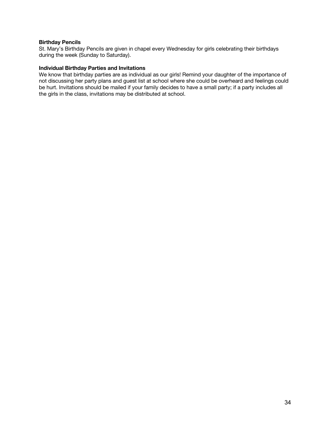## **Birthday Pencils**

St. Mary's Birthday Pencils are given in chapel every Wednesday for girls celebrating their birthdays during the week (Sunday to Saturday).

## **Individual Birthday Parties and Invitations**

We know that birthday parties are as individual as our girls! Remind your daughter of the importance of not discussing her party plans and guest list at school where she could be overheard and feelings could be hurt. Invitations should be mailed if your family decides to have a small party; if a party includes all the girls in the class, invitations may be distributed at school.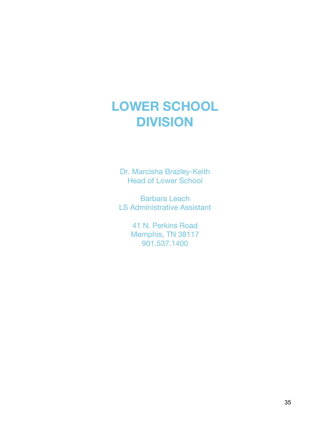## **LOWER SCHOOL DIVISION**

Dr. Marcisha Brazley-Keith Head of Lower School

Barbara Leach LS Administrative Assistant

> 41 N. Perkins Road Memphis, TN 38117 901.537.1400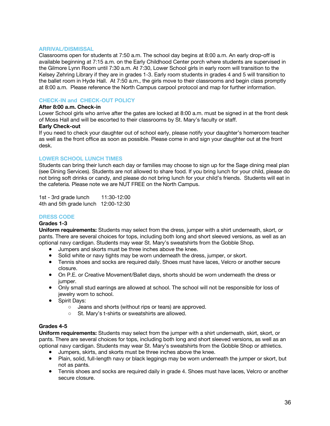#### **ARRIVAL/DISMISSAL**

Classrooms open for students at 7:50 a.m. The school day begins at 8:00 a.m. An early drop-off is available beginning at 7:15 a.m. on the Early Childhood Center porch where students are supervised in the Gilmore Lynn Room until 7:30 a.m. At 7:30, Lower School girls in early room will transition to the Kelsey Zehring Library if they are in grades 1-3. Early room students in grades 4 and 5 will transition to the ballet room in Hyde Hall. At 7:50 a.m., the girls move to their classrooms and begin class promptly at 8:00 a.m. Please reference the North Campus carpool protocol and map for further information.

## **CHECK-IN and CHECK-OUT POLICY**

## **After 8:00 a.m. Check-in**

Lower School girls who arrive after the gates are locked at 8:00 a.m. must be signed in at the front desk of Moss Hall and will be escorted to their classrooms by St. Mary's faculty or staff.

#### **Early Check-out**

If you need to check your daughter out of school early, please notify your daughter's homeroom teacher as well as the front office as soon as possible. Please come in and sign your daughter out at the front desk.

## **LOWER SCHOOL LUNCH TIMES**

Students can bring their lunch each day or families may choose to sign up for the Sage dining meal plan (see Dining Services). Students are not allowed to share food. If you bring lunch for your child, please do not bring soft drinks or candy, and please do not bring lunch for your child's friends. Students will eat in the cafeteria. Please note we are NUT FREE on the North Campus.

1st - 3rd grade lunch 11:30-12:00 4th and 5th grade lunch 12:00-12:30

## **DRESS CODE**

#### **Grades 1-3**

**Uniform requirements:** Students may select from the dress, jumper with a shirt underneath, skort, or pants. There are several choices for tops, including both long and short sleeved versions, as well as an optional navy cardigan. Students may wear St. Mary's sweatshirts from the Gobble Shop.

- Jumpers and skorts must be three inches above the knee.
- Solid white or navy tights may be worn underneath the dress, jumper, or skort.
- Tennis shoes and socks are required daily. Shoes must have laces, Velcro or another secure closure.
- On P.E. or Creative Movement/Ballet days, shorts should be worn underneath the dress or jumper.
- Only small stud earrings are allowed at school. The school will not be responsible for loss of jewelry worn to school.
- Spirit Days:
	- Jeans and shorts (without rips or tears) are approved.
	- St. Mary's t-shirts or sweatshirts are allowed.

#### **Grades 4-5**

**Uniform requirements:** Students may select from the jumper with a shirt underneath, skirt, skort, or pants. There are several choices for tops, including both long and short sleeved versions, as well as an optional navy cardigan. Students may wear St. Mary's sweatshirts from the Gobble Shop or athletics.

- Jumpers, skirts, and skorts must be three inches above the knee.
- Plain, solid, full-length navy or black leggings may be worn underneath the jumper or skort, but not as pants.
- Tennis shoes and socks are required daily in grade 4. Shoes must have laces, Velcro or another secure closure.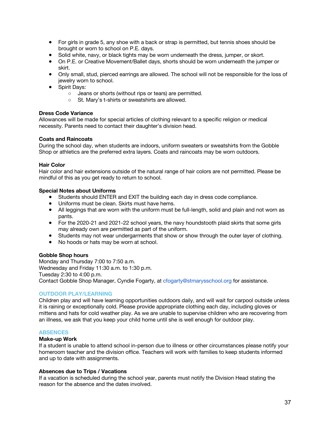- For girls in grade 5, any shoe with a back or strap is permitted, but tennis shoes should be brought or worn to school on P.E. days.
- Solid white, navy, or black tights may be worn underneath the dress, jumper, or skort.
- On P.E. or Creative Movement/Ballet days, shorts should be worn underneath the jumper or skirt.
- Only small, stud, pierced earrings are allowed. The school will not be responsible for the loss of jewelry worn to school.
- Spirit Days:
	- Jeans or shorts (without rips or tears) are permitted.
	- St. Mary's t-shirts or sweatshirts are allowed.

#### **Dress Code Variance**

Allowances will be made for special articles of clothing relevant to a specific religion or medical necessity. Parents need to contact their daughter's division head.

#### **Coats and Raincoats**

During the school day, when students are indoors, uniform sweaters or sweatshirts from the Gobble Shop or athletics are the preferred extra layers. Coats and raincoats may be worn outdoors.

#### **Hair Color**

Hair color and hair extensions outside of the natural range of hair colors are not permitted. Please be mindful of this as you get ready to return to school.

#### **Special Notes about Uniforms**

- Students should ENTER and EXIT the building each day in dress code compliance.
- Uniforms must be clean. Skirts must have hems.
- All leggings that are worn with the uniform must be full-length, solid and plain and not worn as pants.
- For the 2020-21 and 2021-22 school years, the navy houndstooth plaid skirts that some girls may already own are permitted as part of the uniform.
- Students may not wear undergarments that show or show through the outer layer of clothing.
- No hoods or hats may be worn at school.

#### **Gobble Shop hours**

Monday and Thursday 7:00 to 7:50 a.m. Wednesday and Friday 11:30 a.m. to 1:30 p.m. Tuesday 2:30 to 4:00 p.m. Contact Gobble Shop Manager, Cyndie Fogarty, at cfogarty@stmarysschool.org for assistance.

#### **OUTDOOR PLAY/LEARNING**

Children play and will have learning opportunities outdoors daily, and will wait for carpool outside unless it is raining or exceptionally cold. Please provide appropriate clothing each day, including gloves or mittens and hats for cold weather play. As we are unable to supervise children who are recovering from an illness, we ask that you keep your child home until she is well enough for outdoor play.

#### **ABSENCES**

#### **Make-up Work**

If a student is unable to attend school in-person due to illness or other circumstances please notify your homeroom teacher and the division office. Teachers will work with families to keep students informed and up to date with assignments.

#### **Absences due to Trips / Vacations**

If a vacation is scheduled during the school year, parents must notify the Division Head stating the reason for the absence and the dates involved.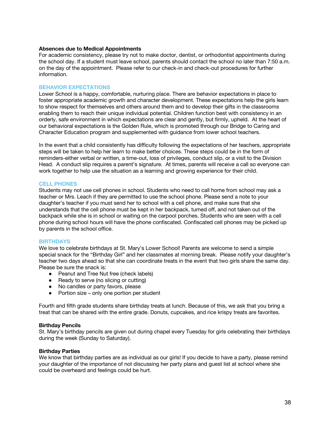#### **Absences due to Medical Appointments**

For academic consistency, please try not to make doctor, dentist, or orthodontist appointments during the school day. If a student must leave school, parents should contact the school no later than 7:50 a.m. on the day of the appointment. Please refer to our check-in and check-out procedures for further information.

## **BEHAVIOR EXPECTATIONS**

Lower School is a happy, comfortable, nurturing place. There are behavior expectations in place to foster appropriate academic growth and character development. These expectations help the girls learn to show respect for themselves and others around them and to develop their gifts in the classrooms enabling them to reach their unique individual potential. Children function best with consistency in an orderly, safe environment in which expectations are clear and gently, but firmly, upheld. At the heart of our behavioral expectations is the Golden Rule, which is promoted through our Bridge to Caring and Character Education program and supplemented with guidance from lower school teachers.

In the event that a child consistently has difficulty following the expectations of her teachers, appropriate steps will be taken to help her learn to make better choices. These steps could be in the form of reminders-either verbal or written, a time-out, loss of privileges, conduct slip, or a visit to the Division Head. A conduct slip requires a parent's signature. At times, parents will receive a call so everyone can work together to help use the situation as a learning and growing experience for their child.

#### **CELL PHONES**

Students may not use cell phones in school. Students who need to call home from school may ask a teacher or Mrs. Leach if they are permitted to use the school phone. Please send a note to your daughter's teacher if you must send her to school with a cell phone, and make sure that she understands that the cell phone must be kept in her backpack, turned off, and not taken out of the backpack while she is in school or waiting on the carpool porches. Students who are seen with a cell phone during school hours will have the phone confiscated. Confiscated cell phones may be picked up by parents in the school office.

#### **BIRTHDAYS**

We love to celebrate birthdays at St. Mary's Lower School! Parents are welcome to send a simple special snack for the "Birthday Girl" and her classmates at morning break. Please notify your daughter's teacher two days ahead so that she can coordinate treats in the event that two girls share the same day. Please be sure the snack is:

- Peanut and Tree Nut free (check labels)
- Ready to serve (no slicing or cutting)
- No candles or party favors, please
- Portion size only one portion per student

Fourth and fifth grade students share birthday treats at lunch. Because of this, we ask that you bring a treat that can be shared with the entire grade. Donuts, cupcakes, and rice krispy treats are favorites.

#### **Birthday Pencils**

St. Mary's birthday pencils are given out during chapel every Tuesday for girls celebrating their birthdays during the week (Sunday to Saturday).

#### **Birthday Parties**

We know that birthday parties are as individual as our girls! If you decide to have a party, please remind your daughter of the importance of not discussing her party plans and guest list at school where she could be overheard and feelings could be hurt.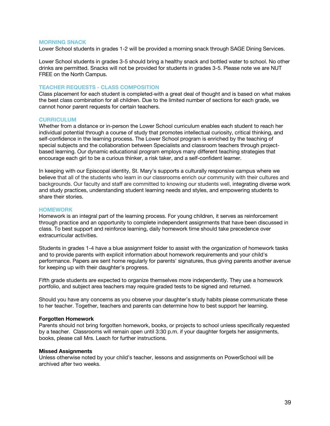#### **MORNING SNACK**

Lower School students in grades 1-2 will be provided a morning snack through SAGE Dining Services.

Lower School students in grades 3-5 should bring a healthy snack and bottled water to school. No other drinks are permitted. Snacks will not be provided for students in grades 3-5. Please note we are NUT FREE on the North Campus.

#### **TEACHER REQUESTS - CLASS COMPOSITION**

Class placement for each student is completed with a great deal of thought and is based on what makes the best class combination for all children. Due to the limited number of sections for each grade, we cannot honor parent requests for certain teachers.

#### **CURRICULUM**

Whether from a distance or in-person the Lower School curriculum enables each student to reach her individual potential through a course of study that promotes intellectual curiosity, critical thinking, and self-confidence in the learning process. The Lower School program is enriched by the teaching of special subjects and the collaboration between Specialists and classroom teachers through projectbased learning. Our dynamic educational program employs many different teaching strategies that encourage each girl to be a curious thinker, a risk taker, and a self-confident learner.

In keeping with our Episcopal identity, St. Mary's supports a culturally responsive campus where we believe that all of the students who learn in our classrooms enrich our community with their cultures and backgrounds. Our faculty and staff are committed to knowing our students well, integrating diverse work and study practices, understanding student learning needs and styles, and empowering students to share their stories.

#### **HOMEWORK**

Homework is an integral part of the learning process. For young children, it serves as reinforcement through practice and an opportunity to complete independent assignments that have been discussed in class. To best support and reinforce learning, daily homework time should take precedence over extracurricular activities.

Students in grades 1-4 have a blue assignment folder to assist with the organization of homework tasks and to provide parents with explicit information about homework requirements and your child's performance. Papers are sent home regularly for parents' signatures, thus giving parents another avenue for keeping up with their daughter's progress.

Fifth grade students are expected to organize themselves more independently. They use a homework portfolio, and subject area teachers may require graded tests to be signed and returned.

Should you have any concerns as you observe your daughter's study habits please communicate these to her teacher. Together, teachers and parents can determine how to best support her learning.

#### **Forgotten Homework**

Parents should not bring forgotten homework, books, or projects to school unless specifically requested by a teacher. Classrooms will remain open until 3:30 p.m. if your daughter forgets her assignments, books, please call Mrs. Leach for further instructions.

#### **Missed Assignments**

Unless otherwise noted by your child's teacher, lessons and assignments on PowerSchool will be archived after two weeks.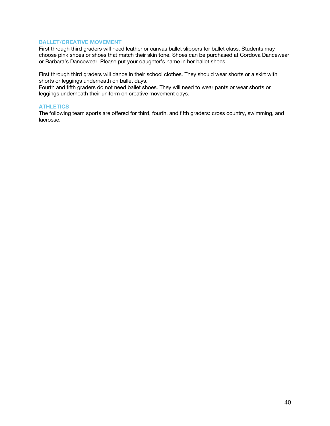## **BALLET/CREATIVE MOVEMENT**

First through third graders will need leather or canvas ballet slippers for ballet class. Students may choose pink shoes or shoes that match their skin tone. Shoes can be purchased at Cordova Dancewear or Barbara's Dancewear. Please put your daughter's name in her ballet shoes.

First through third graders will dance in their school clothes. They should wear shorts or a skirt with shorts or leggings underneath on ballet days.

Fourth and fifth graders do not need ballet shoes. They will need to wear pants or wear shorts or leggings underneath their uniform on creative movement days.

## **ATHLETICS**

The following team sports are offered for third, fourth, and fifth graders: cross country, swimming, and lacrosse.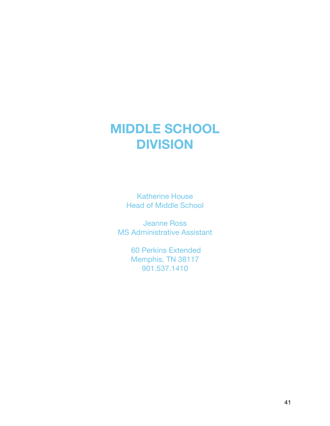## **MIDDLE SCHOOL DIVISION**

Katherine House Head of Middle School

Jeanne Ross MS Administrative Assistant

> 60 Perkins Extended Memphis, TN 38117 901.537.1410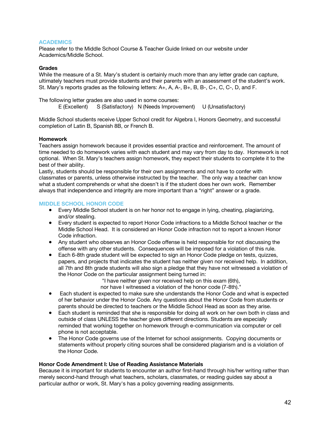## **ACADEMICS**

Please refer to the Middle School Course & Teacher Guide linked on our website under Academics/Middle School.

## **Grades**

While the measure of a St. Mary's student is certainly much more than any letter grade can capture, ultimately teachers must provide students and their parents with an assessment of the student's work. St. Mary's reports grades as the following letters: A+, A, A-, B+, B, B-, C+, C, C-, D, and F.

The following letter grades are also used in some courses:

E (Excellent) S (Satisfactory) N (Needs Improvement) U (Unsatisfactory)

Middle School students receive Upper School credit for Algebra I, Honors Geometry, and successful completion of Latin B, Spanish 8B, or French B.

## **Homework**

Teachers assign homework because it provides essential practice and reinforcement. The amount of time needed to do homework varies with each student and may vary from day to day. Homework is not optional. When St. Mary's teachers assign homework, they expect their students to complete it to the best of their ability.

Lastly, students should be responsible for their own assignments and not have to confer with classmates or parents, unless otherwise instructed by the teacher. The only way a teacher can know what a student comprehends or what she doesn't is if the student does her own work. Remember always that independence and integrity are more important than a "right" answer or a grade.

## **MIDDLE SCHOOL HONOR CODE**

- Every Middle School student is on her honor not to engage in lying, cheating, plagiarizing, and/or stealing.
- Every student is expected to report Honor Code infractions to a Middle School teacher or the Middle School Head. It is considered an Honor Code infraction not to report a known Honor Code infraction.
- Any student who observes an Honor Code offense is held responsible for not discussing the offense with any other students. Consequences will be imposed for a violation of this rule.
- Each 6-8th grade student will be expected to sign an Honor Code pledge on tests, quizzes, papers, and projects that indicates the student has neither given nor received help. In addition, all 7th and 8th grade students will also sign a pledge that they have not witnessed a violation of the Honor Code on the particular assignment being turned in:
	- "I have neither given nor received help on this exam (6th),
	- nor have I witnessed a violation of the honor code (7-8th)."
- Each student is expected to make sure she understands the Honor Code and what is expected of her behavior under the Honor Code. Any questions about the Honor Code from students or parents should be directed to teachers or the Middle School Head as soon as they arise.
- Each student is reminded that she is responsible for doing all work on her own both in class and outside of class UNLESS the teacher gives different directions. Students are especially reminded that working together on homework through e-communication via computer or cell phone is not acceptable.
- The Honor Code governs use of the Internet for school assignments. Copying documents or statements without properly citing sources shall be considered plagiarism and is a violation of the Honor Code.

#### **Honor Code Amendment I: Use of Reading Assistance Materials**

Because it is important for students to encounter an author first-hand through his/her writing rather than merely second-hand through what teachers, scholars, classmates, or reading guides say about a particular author or work, St. Mary's has a policy governing reading assignments.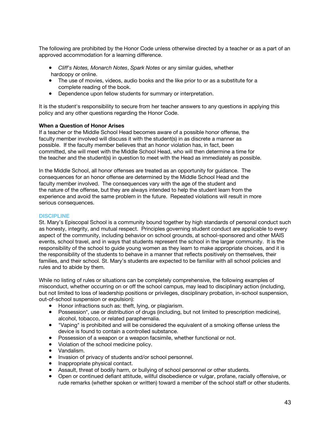The following are prohibited by the Honor Code unless otherwise directed by a teacher or as a part of an approved accommodation for a learning difference.

- *Cliff's Notes, Monarch Notes*, *Spark Notes* or any similar guides, whether hardcopy or online.
- The use of movies, videos, audio books and the like prior to or as a substitute for a complete reading of the book.
- Dependence upon fellow students for summary or interpretation.

It is the student's responsibility to secure from her teacher answers to any questions in applying this policy and any other questions regarding the Honor Code.

## **When a Question of Honor Arises**

If a teacher or the Middle School Head becomes aware of a possible honor offense, the faculty member involved will discuss it with the student(s) in as discrete a manner as possible. If the faculty member believes that an honor violation has, in fact, been committed, she will meet with the Middle School Head, who will then determine a time for the teacher and the student(s) in question to meet with the Head as immediately as possible.

In the Middle School, all honor offenses are treated as an opportunity for guidance. The consequences for an honor offense are determined by the Middle School Head and the faculty member involved. The consequences vary with the age of the student and the nature of the offense, but they are always intended to help the student learn from the experience and avoid the same problem in the future. Repeated violations will result in more serious consequences.

### **DISCIPLINE**

St. Mary's Episcopal School is a community bound together by high standards of personal conduct such as honesty, integrity, and mutual respect. Principles governing student conduct are applicable to every aspect of the community, including behavior on school grounds, at school-sponsored and other MAIS events, school travel, and in ways that students represent the school in the larger community. It is the responsibility of the school to guide young women as they learn to make appropriate choices, and it is the responsibility of the students to behave in a manner that reflects positively on themselves, their families, and their school. St. Mary's students are expected to be familiar with all school policies and rules and to abide by them.

While no listing of rules or situations can be completely comprehensive, the following examples of misconduct, whether occurring on or off the school campus, may lead to disciplinary action (including, but not limited to loss of leadership positions or privileges, disciplinary probation, in-school suspension, out-of-school suspension or expulsion):

- Honor infractions such as: theft, lying, or plagiarism.
- Possession\*, use or distribution of drugs (including, but not limited to prescription medicine), alcohol, tobacco, or related paraphernalia.
- "Vaping" is prohibited and will be considered the equivalent of a smoking offense unless the device is found to contain a controlled substance.
- Possession of a weapon or a weapon facsimile, whether functional or not.
- Violation of the school medicine policy.
- Vandalism.
- Invasion of privacy of students and/or school personnel.
- Inappropriate physical contact.
- Assault, threat of bodily harm, or bullying of school personnel or other students.
- Open or continued defiant attitude, willful disobedience or vulgar, profane, racially offensive, or rude remarks (whether spoken or written) toward a member of the school staff or other students.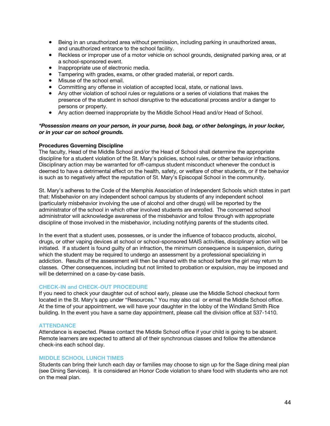- Being in an unauthorized area without permission, including parking in unauthorized areas, and unauthorized entrance to the school facility.
- Reckless or improper use of a motor vehicle on school grounds, designated parking area, or at a school-sponsored event.
- Inappropriate use of electronic media.
- Tampering with grades, exams, or other graded material, or report cards.
- Misuse of the school email.
- Committing any offense in violation of accepted local, state, or national laws.
- Any other violation of school rules or regulations or a series of violations that makes the presence of the student in school disruptive to the educational process and/or a danger to persons or property.
- Any action deemed inappropriate by the Middle School Head and/or Head of School.

### *\*Possession means on your person, in your purse, book bag, or other belongings, in your locker, or in your car on school grounds.*

## **Procedures Governing Discipline**

The faculty, Head of the Middle School and/or the Head of School shall determine the appropriate discipline for a student violation of the St. Mary's policies, school rules, or other behavior infractions. Disciplinary action may be warranted for off-campus student misconduct whenever the conduct is deemed to have a detrimental effect on the health, safety, or welfare of other students, or if the behavior is such as to negatively affect the reputation of St. Mary's Episcopal School in the community.

St. Mary's adheres to the Code of the Memphis Association of Independent Schools which states in part that: Misbehavior on any independent school campus by students of any independent school (particularly misbehavior involving the use of alcohol and other drugs) will be reported by the administrator of the school in which other involved students are enrolled. The concerned school administrator will acknowledge awareness of the misbehavior and follow through with appropriate discipline of those involved in the misbehavior, including notifying parents of the students cited.

In the event that a student uses, possesses, or is under the influence of tobacco products, alcohol, drugs, or other vaping devices at school or school-sponsored MAIS activities, disciplinary action will be initiated. If a student is found guilty of an infraction, the minimum consequence is suspension, during which the student may be required to undergo an assessment by a professional specializing in addiction. Results of the assessment will then be shared with the school before the girl may return to classes. Other consequences, including but not limited to probation or expulsion, may be imposed and will be determined on a case-by-case basis.

#### **CHECK-IN and CHECK-OUT PROCEDURE**

If you need to check your daughter out of school early, please use the Middle School checkout form located in the St. Mary's app under "Resources." You may also cal or email the Middle School office. At the time of your appointment, we will have your daughter in the lobby of the Windland Smith Rice building. In the event you have a same day appointment, please call the division office at 537-1410.

#### **ATTENDANCE**

Attendance is expected. Please contact the Middle School office if your child is going to be absent. Remote learners are expected to attend all of their synchronous classes and follow the attendance check-ins each school day.

#### **MIDDLE SCHOOL LUNCH TIMES**

Students can bring their lunch each day or families may choose to sign up for the Sage dining meal plan (see Dining Services). It is considered an Honor Code violation to share food with students who are not on the meal plan.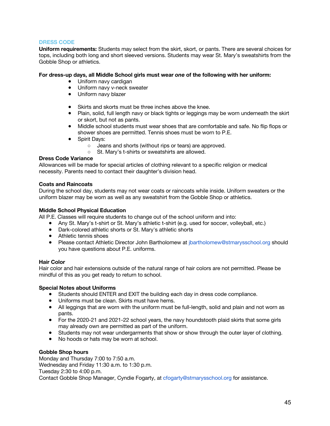## **DRESS CODE**

**Uniform requirements:** Students may select from the skirt, skort, or pants. There are several choices for tops, including both long and short sleeved versions. Students may wear St. Mary's sweatshirts from the Gobble Shop or athletics.

### **For dress-up days, all Middle School girls must wear** *one* **of the following with her uniform:**

- Uniform navy cardigan
- Uniform navy v-neck sweater
- Uniform navy blazer
- Skirts and skorts must be three inches above the knee.
- Plain, solid, full length navy or black tights or leggings may be worn underneath the skirt or skort, but not as pants.
- Middle school students must wear shoes that are comfortable and safe. No flip flops or shower shoes are permitted. Tennis shoes must be worn to P.E.
- Spirit Days:
	- Jeans and shorts (without rips or tears) are approved.
	- St. Mary's t-shirts or sweatshirts are allowed.

## **Dress Code Variance**

Allowances will be made for special articles of clothing relevant to a specific religion or medical necessity. Parents need to contact their daughter's division head.

#### **Coats and Raincoats**

During the school day, students may not wear coats or raincoats while inside. Uniform sweaters or the uniform blazer may be worn as well as any sweatshirt from the Gobble Shop or athletics.

## **Middle School Physical Education**

All P.E. Classes will require students to change out of the school uniform and into:

- Any St. Mary's t-shirt or St. Mary's athletic t-shirt (e.g. used for soccer, volleyball, etc.)
- Dark-colored athletic shorts or St. Mary's athletic shorts
- Athletic tennis shoes
- Please contact Athletic Director John Bartholomew at jbartholomew@stmarysschool.org should you have questions about P.E. uniforms.

#### **Hair Color**

Hair color and hair extensions outside of the natural range of hair colors are not permitted. Please be mindful of this as you get ready to return to school.

#### **Special Notes about Uniforms**

- Students should ENTER and EXIT the building each day in dress code compliance.
- Uniforms must be clean. Skirts must have hems.
- All leggings that are worn with the uniform must be full-length, solid and plain and not worn as pants.
- For the 2020-21 and 2021-22 school years, the navy houndstooth plaid skirts that some girls may already own are permitted as part of the uniform.
- Students may not wear undergarments that show or show through the outer layer of clothing.
- No hoods or hats may be worn at school.

#### **Gobble Shop hours**

Monday and Thursday 7:00 to 7:50 a.m. Wednesday and Friday 11:30 a.m. to 1:30 p.m. Tuesday 2:30 to 4:00 p.m. Contact Gobble Shop Manager, Cyndie Fogarty, at cfogarty@stmarysschool.org for assistance.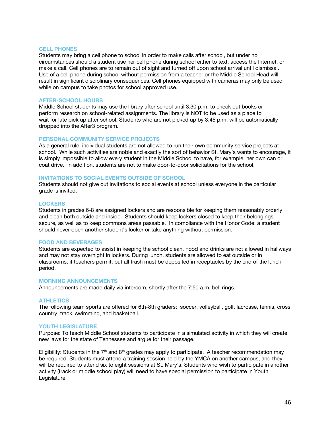#### **CELL PHONES**

Students may bring a cell phone to school in order to make calls after school, but under no circumstances should a student use her cell phone during school either to text, access the Internet, or make a call. Cell phones are to remain out of sight and turned off upon school arrival until dismissal. Use of a cell phone during school without permission from a teacher or the Middle School Head will result in significant disciplinary consequences. Cell phones equipped with cameras may only be used while on campus to take photos for school approved use.

#### **AFTER-SCHOOL HOURS**

Middle School students may use the library after school until 3:30 p.m. to check out books or perform research on school-related assignments. The library is NOT to be used as a place to wait for late pick up after school. Students who are not picked up by 3:45 p.m. will be automatically dropped into the After3 program.

#### **PERSONAL COMMUNITY SERVICE PROJECTS**

As a general rule, individual students are not allowed to run their own community service projects at school. While such activities are noble and exactly the sort of behavior St. Mary's wants to encourage, it is simply impossible to allow every student in the Middle School to have, for example, her own can or coat drive. In addition, students are not to make door-to-door solicitations for the school.

## **INVITATIONS TO SOCIAL EVENTS OUTSIDE OF SCHOOL**

Students should not give out invitations to social events at school unless everyone in the particular grade is invited.

#### **LOCKERS**

Students in grades 6-8 are assigned lockers and are responsible for keeping them reasonably orderly and clean both outside and inside. Students should keep lockers closed to keep their belongings secure, as well as to keep commons areas passable. In compliance with the Honor Code, a student should never open another student's locker or take anything without permission.

#### **FOOD AND BEVERAGES**

Students are expected to assist in keeping the school clean. Food and drinks are not allowed in hallways and may not stay overnight in lockers. During lunch, students are allowed to eat outside or in classrooms, if teachers permit, but all trash must be deposited in receptacles by the end of the lunch period.

#### **MORNING ANNOUNCEMENTS**

Announcements are made daily via intercom, shortly after the 7:50 a.m. bell rings.

#### **ATHLETICS**

The following team sports are offered for 6th-8th graders: soccer, volleyball, golf, lacrosse, tennis, cross country, track, swimming, and basketball.

#### **YOUTH LEGISLATURE**

Purpose: To teach Middle School students to participate in a simulated activity in which they will create new laws for the state of Tennessee and argue for their passage.

Eligibility: Students in the  $7<sup>th</sup>$  and  $8<sup>th</sup>$  grades may apply to participate. A teacher recommendation may be required. Students must attend a training session held by the YMCA on another campus, and they will be required to attend six to eight sessions at St. Mary's. Students who wish to participate in another activity (track or middle school play) will need to have special permission to participate in Youth Legislature.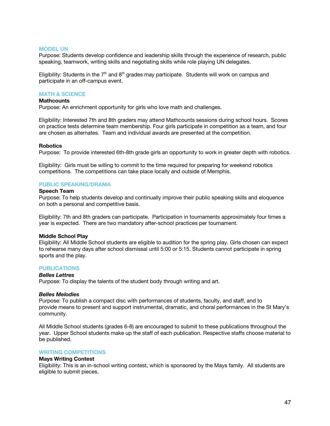#### **MODEL UN**

Purpose: Students develop confidence and leadership skills through the experience of research, public speaking, teamwork, writing skills and negotiating skills while role playing UN delegates.

Eligibility: Students in the  $7<sup>th</sup>$  and  $8<sup>th</sup>$  grades may participate. Students will work on campus and participate in an off-campus event.

#### **MATH & SCIENCE**

#### **Mathcounts**

Purpose: An enrichment opportunity for girls who love math and challenges.

Eligibility: Interested 7th and 8th graders may attend Mathcounts sessions during school hours. Scores on practice tests determine team membership. Four girls participate in competition as a team, and four are chosen as alternates. Team and individual awards are presented at the competition.

#### **Robotics**

Purpose: To provide interested 6th-8th grade girls an opportunity to work in greater depth with robotics.

Eligibility: Girls must be willing to commit to the time required for preparing for weekend robotics competitions. The competitions can take place locally and outside of Memphis.

## **PUBLIC SPEAKING/DRAMA**

#### **Speech Team**

Purpose: To help students develop and continually improve their public speaking skills and eloquence on both a personal and competitive basis.

Eligibility: 7th and 8th graders can participate. Participation in tournaments approximately four times a year is expected. There are two mandatory after-school practices per tournament.

#### **Middle School Play**

Eligibility: All Middle School students are eligible to audition for the spring play. Girls chosen can expect to rehearse many days after school dismissal until 5:00 or 5:15. Students cannot participate in spring sports and the play.

#### **PUBLICATIONS**

#### *Belles Lettres*

Purpose: To display the talents of the student body through writing and art.

#### *Belles Melodies*

Purpose: To publish a compact disc with performances of students, faculty, and staff, and to provide means to present and support instrumental, dramatic, and choral performances in the St Mary's community.

All Middle School students (grades 6-8) are encouraged to submit to these publications throughout the year. Upper School students make up the staff of each publication. Respective staffs choose material to be published.

#### **WRITING COMPETITIONS**

#### **Mays Writing Contest**

Eligibility: This is an in-school writing contest, which is sponsored by the Mays family. All students are eligible to submit pieces.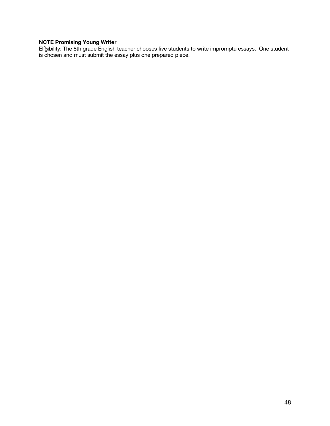## **NCTE Promising Young Writer**

Eligibility: The 8th grade English teacher chooses five students to write impromptu essays. One student is chosen and must submit the essay plus one prepared piece.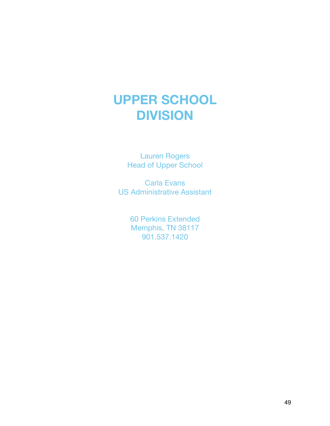## **UPPER SCHOOL DIVISION**

Lauren Rogers Head of Upper School

Carla Evans US Administrative Assistant

> 60 Perkins Extended Memphis, TN 38117 901.537.1420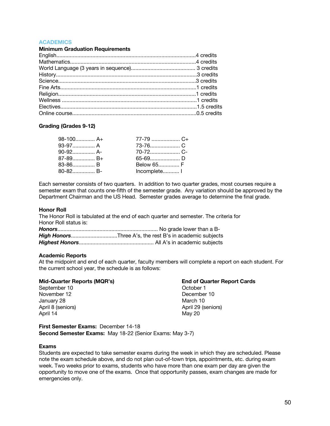## **ACADEMICS**

#### **Minimum Graduation Requirements**

#### **Grading (Grades 9-12)**

| $98-100$ A+ |              |
|-------------|--------------|
|             |              |
|             |              |
|             |              |
| 83-86 B     | Below 65 F   |
|             | Incomplete I |

Each semester consists of two quarters. In addition to two quarter grades, most courses require a semester exam that counts one-fifth of the semester grade. Any variation should be approved by the Department Chairman and the US Head. Semester grades average to determine the final grade.

#### **Honor Roll**

The Honor Roll is tabulated at the end of each quarter and semester. The criteria for Honor Roll status is: *No grade* lower than a B

#### **Academic Reports**

At the midpoint and end of each quarter, faculty members will complete a report on each student. For the current school year, the schedule is as follows:

#### **Mid-Quarter Reports (MQR's) End of Quarter Report Cards**

September 10 October 1 November 12 December 10 January 28 March 10 April 14 May 20

April 8 (seniors) April 29 (seniors)

**First Semester Exams:** December 14-18 **Second Semester Exams:** May 18-22 (Senior Exams: May 3-7)

#### **Exams**

Students are expected to take semester exams during the week in which they are scheduled. Please note the exam schedule above, and do not plan out-of-town trips, appointments, etc. during exam week. Two weeks prior to exams, students who have more than one exam per day are given the opportunity to move one of the exams. Once that opportunity passes, exam changes are made for emergencies only.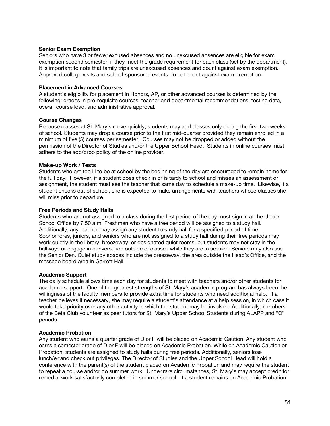### **Senior Exam Exemption**

Seniors who have 3 or fewer excused absences and no unexcused absences are eligible for exam exemption second semester, if they meet the grade requirement for each class (set by the department). It is important to note that family trips are unexcused absences and count against exam exemption. Approved college visits and school-sponsored events do not count against exam exemption.

### **Placement in Advanced Courses**

A student's eligibility for placement in Honors, AP, or other advanced courses is determined by the following: grades in pre-requisite courses, teacher and departmental recommendations, testing data, overall course load, and administrative approval.

## **Course Changes**

Because classes at St. Mary's move quickly, students may add classes only during the first two weeks of school. Students may drop a course prior to the first mid-quarter provided they remain enrolled in a minimum of five (5) courses per semester. Courses may not be dropped or added without the permission of the Director of Studies and/or the Upper School Head. Students in online courses must adhere to the add/drop policy of the online provider.

## **Make-up Work / Tests**

Students who are too ill to be at school by the beginning of the day are encouraged to remain home for the full day. However, if a student does check in or is tardy to school and misses an assessment or assignment, the student must see the teacher that same day to schedule a make-up time. Likewise, if a student checks out of school, she is expected to make arrangements with teachers whose classes she will miss prior to departure.

## **Free Periods and Study Halls**

Students who are not assigned to a class during the first period of the day must sign in at the Upper School Office by 7:50 a.m. Freshmen who have a free period will be assigned to a study hall. Additionally, any teacher may assign any student to study hall for a specified period of time. Sophomores, juniors, and seniors who are not assigned to a study hall during their free periods may work quietly in the library, breezeway, or designated quiet rooms, but students may not stay in the hallways or engage in conversation outside of classes while they are in session. Seniors may also use the Senior Den. Quiet study spaces include the breezeway, the area outside the Head's Office, and the message board area in Garrott Hall.

#### **Academic Support**

The daily schedule allows time each day for students to meet with teachers and/or other students for academic support. One of the greatest strengths of St. Mary's academic program has always been the willingness of the faculty members to provide extra time for students who need additional help. If a teacher believes it necessary, she may require a student's attendance at a help session, in which case it would take priority over any other activity in which the student may be involved. Additionally, members of the Beta Club volunteer as peer tutors for St. Mary's Upper School Students during ALAPP and "O" periods.

## **Academic Probation**

Any student who earns a quarter grade of D or F will be placed on Academic Caution. Any student who earns a semester grade of D or F will be placed on Academic Probation. While on Academic Caution or Probation, students are assigned to study halls during free periods. Additionally, seniors lose lunch/errand check out privileges. The Director of Studies and the Upper School Head will hold a conference with the parent(s) of the student placed on Academic Probation and may require the student to repeat a course and/or do summer work. Under rare circumstances, St. Mary's may accept credit for remedial work satisfactorily completed in summer school. If a student remains on Academic Probation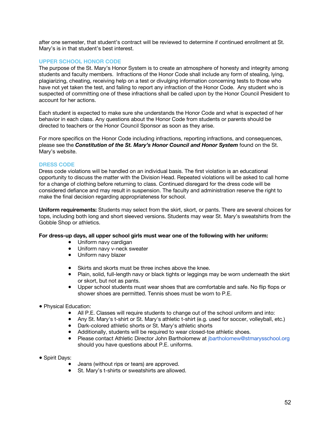after one semester, that student's contract will be reviewed to determine if continued enrollment at St. Mary's is in that student's best interest.

## **UPPER SCHOOL HONOR CODE**

The purpose of the St. Mary's Honor System is to create an atmosphere of honesty and integrity among students and faculty members. Infractions of the Honor Code shall include any form of stealing, lying, plagiarizing, cheating, receiving help on a test or divulging information concerning tests to those who have not yet taken the test, and failing to report any infraction of the Honor Code. Any student who is suspected of committing one of these infractions shall be called upon by the Honor Council President to account for her actions.

Each student is expected to make sure she understands the Honor Code and what is expected of her behavior in each class. Any questions about the Honor Code from students or parents should be directed to teachers or the Honor Council Sponsor as soon as they arise.

For more specifics on the Honor Code including infractions, reporting infractions, and consequences, please see the *Constitution of the St. Mary's Honor Council and Honor System* found on the St. Mary's website.

#### **DRESS CODE**

Dress code violations will be handled on an individual basis. The first violation is an educational opportunity to discuss the matter with the Division Head. Repeated violations will be asked to call home for a change of clothing before returning to class. Continued disregard for the dress code will be considered defiance and may result in suspension. The faculty and administration reserve the right to make the final decision regarding appropriateness for school.

**Uniform requirements:** Students may select from the skirt, skort, or pants. There are several choices for tops, including both long and short sleeved versions. Students may wear St. Mary's sweatshirts from the Gobble Shop or athletics.

#### **For dress-up days, all upper school girls must wear one of the following with her uniform:**

- Uniform navy cardigan
- Uniform navy v-neck sweater
- Uniform navy blazer
- Skirts and skorts must be three inches above the knee.
- Plain, solid, full-length navy or black tights or leggings may be worn underneath the skirt or skort, but not as pants.
- Upper school students must wear shoes that are comfortable and safe. No flip flops or shower shoes are permitted. Tennis shoes must be worn to P.E.
- Physical Education:
	- All P.E. Classes will require students to change out of the school uniform and into:
	- Any St. Mary's t-shirt or St. Mary's athletic t-shirt (e.g. used for soccer, volleyball, etc.)
	- Dark-colored athletic shorts or St. Mary's athletic shorts
	- Additionally, students will be required to wear closed-toe athletic shoes.
	- Please contact Athletic Director John Bartholomew at jbartholomew@stmarysschool.org should you have questions about P.E. uniforms.
- Spirit Days:
	- Jeans (without rips or tears) are approved.
	- St. Mary's t-shirts or sweatshirts are allowed.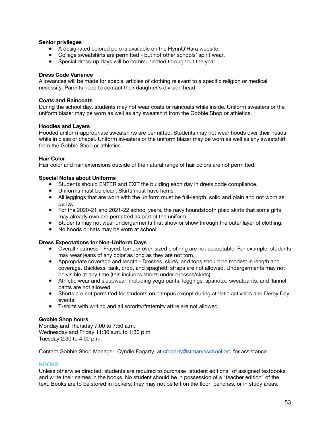## **Senior privileges**

- A designated colored polo is available on the FlynnO'Hara website.
- College sweatshirts are permitted but not other schools' spirit wear.
- Special dress-up days will be communicated throughout the year.

## **Dress Code Variance**

Allowances will be made for special articles of clothing relevant to a specific religion or medical necessity. Parents need to contact their daughter's division head.

### **Coats and Raincoats**

During the school day, students may not wear coats or raincoats while inside. Uniform sweaters or the uniform blazer may be worn as well as any sweatshirt from the Gobble Shop or athletics.

#### **Hoodies and Layers**

Hooded uniform-appropriate sweatshirts are permitted. Students may not wear hoods over their heads while in class or chapel. Uniform sweaters or the uniform blazer may be worn as well as any sweatshirt from the Gobble Shop or athletics.

## **Hair Color**

Hair color and hair extensions outside of the natural range of hair colors are not permitted.

## **Special Notes about Uniforms**

- Students should ENTER and EXIT the building each day in dress code compliance.
- Uniforms must be clean. Skirts must have hems.
- All leggings that are worn with the uniform must be full-length, solid and plain and not worn as pants.
- For the 2020-21 and 2021-22 school years, the navy houndstooth plaid skirts that some girls may already own are permitted as part of the uniform.
- Students may not wear undergarments that show or show through the outer layer of clothing.
- No hoods or hats may be worn at school.

#### **Dress Expectations for Non-Uniform Days**

- Overall neatness Frayed, torn, or over-sized clothing are not acceptable. For example, students may wear jeans of any color as long as they are not torn.
- Appropriate coverage and length Dresses, skirts, and tops should be modest in length and coverage. Backless, tank, crop, and spaghetti straps are not allowed. Undergarments may not be visible at any time (this includes shorts under dresses/skirts).
- Athletic wear and sleepwear, including yoga pants, leggings, spandex, sweatpants, and flannel pants are not allowed.
- Shorts are not permitted for students on campus except during athletic activities and Derby Day events.
- T-shirts with writing and all sorority/fraternity attire are not allowed.

#### **Gobble Shop hours**

Monday and Thursday 7:00 to 7:50 a.m. Wednesday and Friday 11:30 a.m. to 1:30 p.m. Tuesday 2:30 to 4:00 p.m.

Contact Gobble Shop Manager, Cyndie Fogarty, at cfogarty@stmarysschool.org for assistance.

## **BOOKS**

Unless otherwise directed, students are required to purchase "student editions" of assigned textbooks, and write their names in the books. No student should be in possession of a "teacher edition" of the text. Books are to be stored in lockers; they may not be left on the floor, benches, or in study areas.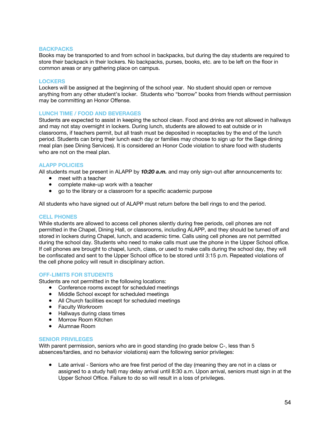#### **BACKPACKS**

Books may be transported to and from school in backpacks, but during the day students are required to store their backpack in their lockers. No backpacks, purses, books, etc. are to be left on the floor in common areas or any gathering place on campus.

#### **LOCKERS**

Lockers will be assigned at the beginning of the school year. No student should open or remove anything from any other student's locker. Students who "borrow" books from friends without permission may be committing an Honor Offense.

## **LUNCH TIME / FOOD AND BEVERAGES**

Students are expected to assist in keeping the school clean. Food and drinks are not allowed in hallways and may not stay overnight in lockers. During lunch, students are allowed to eat outside or in classrooms, if teachers permit, but all trash must be deposited in receptacles by the end of the lunch period. Students can bring their lunch each day or families may choose to sign up for the Sage dining meal plan (see Dining Services). It is considered an Honor Code violation to share food with students who are not on the meal plan.

## **ALAPP POLICIES**

All students must be present in ALAPP by *10:20 a.m.* and may only sign-out after announcements to:

- meet with a teacher
- complete make-up work with a teacher
- go to the library or a classroom for a specific academic purpose

All students who have signed out of ALAPP must return before the bell rings to end the period.

#### **CELL PHONES**

While students are allowed to access cell phones silently during free periods, cell phones are not permitted in the Chapel, Dining Hall, or classrooms, including ALAPP, and they should be turned off and stored in lockers during Chapel, lunch, and academic time. Calls using cell phones are not permitted during the school day. Students who need to make calls must use the phone in the Upper School office. If cell phones are brought to chapel, lunch, class, or used to make calls during the school day, they will be confiscated and sent to the Upper School office to be stored until 3:15 p.m. Repeated violations of the cell phone policy will result in disciplinary action.

## **OFF-LIMITS FOR STUDENTS**

Students are not permitted in the following locations:

- Conference rooms except for scheduled meetings
- Middle School except for scheduled meetings
- All Church facilities except for scheduled meetings
- Faculty Workroom
- Hallways during class times
- Morrow Room Kitchen
- Alumnae Room

#### **SENIOR PRIVILEGES**

With parent permission, seniors who are in good standing (no grade below C-, less than 5 absences/tardies, and no behavior violations) earn the following senior privileges:

● Late arrival - Seniors who are free first period of the day (meaning they are not in a class or assigned to a study hall) may delay arrival until 8:30 a.m. Upon arrival, seniors must sign in at the Upper School Office. Failure to do so will result in a loss of privileges.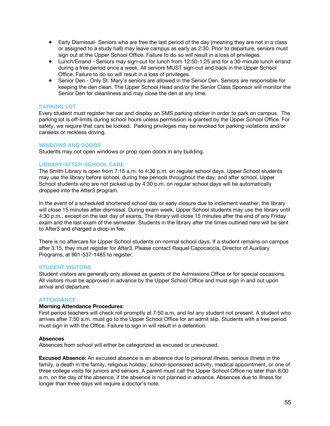- Early Dismissal- Seniors who are free the last period of the day (meaning they are not in a class or assigned to a study hall) may leave campus as early as 2:30. Prior to departure, seniors must sign out at the Upper School Office. Failure to do so will result in a loss of privileges.
- Lunch/Errand Seniors may sign-out for lunch from 12:50-1:25 and for a 30-minute lunch errand during a free period once a week. All seniors MUST sign-out and back in the Upper School Office. Failure to do so will result in a loss of privileges.
- Senior Den Only St. Mary's seniors are allowed in the Senior Den. Seniors are responsible for keeping the den clean. The Upper School Head and/or the Senior Class Sponsor will monitor the Senior Den for cleanliness and may close the den at any time.

## **PARKING LOT**

Every student must register her car and display an SMS parking sticker in order to park on campus. The parking lot is off-limits during school hours unless permission is granted by the Upper School Office. For safety, we require that cars be locked. Parking privileges may be revoked for parking violations and/or careless or reckless driving.

## **WINDOWS AND DOORS**

Students may not open windows or prop open doors in any building.

## **LIBRARY/AFTER-SCHOOL CARE**

The Smith Library is open from 7:15 a.m. to 4:30 p.m. on regular school days. Upper School students may use the library before school, during free periods throughout the day, and after school. Upper School students who are not picked up by 4:30 p.m. on regular school days will be automatically dropped into the After3 program.

In the event of a scheduled shortened school day or early closure due to inclement weather, the library will close 15 minutes after dismissal. During exam week, Upper School students may use the library until 4:30 p.m., except on the last day of exams. The library will close 15 minutes after the end of any Friday exam and the last exam of the semester. Students in the library after the times outlined here will be sent to After3 and charged a drop-in fee.

There is no aftercare for Upper School students on normal school days. If a student remains on campus after 3:15, they must register for After3. Please contact Raquel Capocaccia, Director of Auxiliary Programs, at 901-537-1485 to register.

#### **STUDENT VISITORS**

Student visitors are generally only allowed as guests of the Admissions Office or for special occasions. All visitors must be approved in advance by the Upper School Office and must sign in and out upon arrival and departure.

#### **ATTENDANCE**

#### **Morning Attendance Procedures**:

First period teachers will check roll promptly at 7:50 a.m. and list any student not present. A student who arrives after 7:50 a.m. must go to the Upper School Office for an admit slip. Students with a free period must sign in with the Office. Failure to sign in will result in a detention.

#### **Absences**

Absences from school will either be categorized as excused or unexcused.

**Excused Absence:** An excused absence is an absence due to personal illness, serious illness in the family, a death in the family, religious holiday, school-sponsored activity, medical appointment, or one of three college visits for juniors and seniors. A parent must call the Upper School Office no later than 8:00 a.m. on the day of the absence, if the absence is not planned in advance. Absences due to illness for longer than three days will require a doctor's note.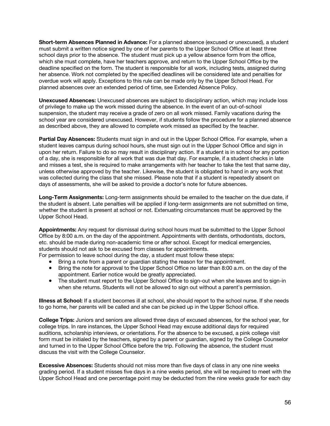**Short-term Absences Planned in Advance:** For a planned absence (excused or unexcused), a student must submit a written notice signed by one of her parents to the Upper School Office at least three school days prior to the absence. The student must pick up a yellow absence form from the office, which she must complete, have her teachers approve, and return to the Upper School Office by the deadline specified on the form. The student is responsible for all work, including tests, assigned during her absence. Work not completed by the specified deadlines will be considered late and penalties for overdue work will apply. Exceptions to this rule can be made only by the Upper School Head. For planned absences over an extended period of time, see Extended Absence Policy.

**Unexcused Absences:** Unexcused absences are subject to disciplinary action, which may include loss of privilege to make up the work missed during the absence. In the event of an out-of-school suspension, the student may receive a grade of zero on all work missed. Family vacations during the school year are considered unexcused. However, if students follow the procedure for a planned absence as described above, they are allowed to complete work missed as specified by the teacher.

**Partial Day Absences:** Students must sign in and out in the Upper School Office. For example, when a student leaves campus during school hours, she must sign out in the Upper School Office and sign in upon her return. Failure to do so may result in disciplinary action. If a student is in school for any portion of a day, she is responsible for all work that was due that day. For example, if a student checks in late and misses a test, she is required to make arrangements with her teacher to take the test that same day, unless otherwise approved by the teacher. Likewise, the student is obligated to hand in any work that was collected during the class that she missed. Please note that if a student is repeatedly absent on days of assessments, she will be asked to provide a doctor's note for future absences.

**Long-Term Assignments:** Long-term assignments should be emailed to the teacher on the due date, if the student is absent. Late penalties will be applied if long-term assignments are not submitted on time, whether the student is present at school or not. Extenuating circumstances must be approved by the Upper School Head.

**Appointments:** Any request for dismissal during school hours must be submitted to the Upper School Office by 8:00 a.m. on the day of the appointment. Appointments with dentists, orthodontists, doctors, etc. should be made during non-academic time or after school. Except for medical emergencies, students should not ask to be excused from classes for appointments.

For permission to leave school during the day, a student must follow these steps:

- Bring a note from a parent or guardian stating the reason for the appointment.
- Bring the note for approval to the Upper School Office no later than 8:00 a.m. on the day of the appointment. Earlier notice would be greatly appreciated.
- The student must report to the Upper School Office to sign-out when she leaves and to sign-in when she returns. Students will not be allowed to sign out without a parent's permission.

**Illness at School:** If a student becomes ill at school, she should report to the school nurse. If she needs to go home, her parents will be called and she can be picked up in the Upper School office.

**College Trips:** Juniors and seniors are allowed three days of excused absences, for the school year, for college trips. In rare instances, the Upper School Head may excuse additional days for required auditions, scholarship interviews, or orientations. For the absence to be excused, a pink college visit form must be initialed by the teachers, signed by a parent or guardian, signed by the College Counselor and turned in to the Upper School Office before the trip. Following the absence, the student must discuss the visit with the College Counselor.

**Excessive Absences:** Students should not miss more than five days of class in any one nine weeks grading period. If a student misses five days in a nine weeks period, she will be required to meet with the Upper School Head and one percentage point may be deducted from the nine weeks grade for each day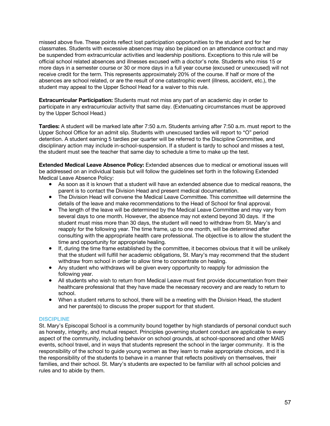missed above five. These points reflect lost participation opportunities to the student and for her classmates. Students with excessive absences may also be placed on an attendance contract and may be suspended from extracurricular activities and leadership positions. Exceptions to this rule will be official school related absences and illnesses excused with a doctor's note. Students who miss 15 or more days in a semester course or 30 or more days in a full year course (excused or unexcused) will not receive credit for the term. This represents approximately 20% of the course. If half or more of the absences are school related, or are the result of one catastrophic event (illness, accident, etc.), the student may appeal to the Upper School Head for a waiver to this rule.

**Extracurricular Participation:** Students must not miss any part of an academic day in order to participate in any extracurricular activity that same day. (Extenuating circumstances must be approved by the Upper School Head.)

**Tardies:** A student will be marked late after 7:50 a.m. Students arriving after 7:50 a.m. must report to the Upper School Office for an admit slip. Students with unexcused tardies will report to "O" period detention. A student earning 5 tardies per quarter will be referred to the Discipline Committee, and disciplinary action may include in-school-suspension. If a student is tardy to school and misses a test, the student must see the teacher that same day to schedule a time to make up the test.

**Extended Medical Leave Absence Policy:** Extended absences due to medical or emotional issues will be addressed on an individual basis but will follow the guidelines set forth in the following Extended Medical Leave Absence Policy:

- As soon as it is known that a student will have an extended absence due to medical reasons, the parent is to contact the Division Head and present medical documentation.
- The Division Head will convene the Medical Leave Committee. This committee will determine the details of the leave and make recommendations to the Head of School for final approval.
- The length of the leave will be determined by the Medical Leave Committee and may vary from several days to one month. However, the absence may not extend beyond 30 days. If the student must miss more than 30 days, the student will need to withdraw from St. Mary's and reapply for the following year. The time frame, up to one month, will be determined after consulting with the appropriate health care professional. The objective is to allow the student the time and opportunity for appropriate healing.
- If, during the time frame established by the committee, it becomes obvious that it will be unlikely that the student will fulfill her academic obligations, St. Mary's may recommend that the student withdraw from school in order to allow time to concentrate on healing.
- Any student who withdraws will be given every opportunity to reapply for admission the following year.
- All students who wish to return from Medical Leave must first provide documentation from their healthcare professional that they have made the necessary recovery and are ready to return to school.
- When a student returns to school, there will be a meeting with the Division Head, the student and her parents(s) to discuss the proper support for that student.

## **DISCIPLINE**

St. Mary's Episcopal School is a community bound together by high standards of personal conduct such as honesty, integrity, and mutual respect. Principles governing student conduct are applicable to every aspect of the community, including behavior on school grounds, at school-sponsored and other MAIS events, school travel, and in ways that students represent the school in the larger community. It is the responsibility of the school to guide young women as they learn to make appropriate choices, and it is the responsibility of the students to behave in a manner that reflects positively on themselves, their families, and their school. St. Mary's students are expected to be familiar with all school policies and rules and to abide by them.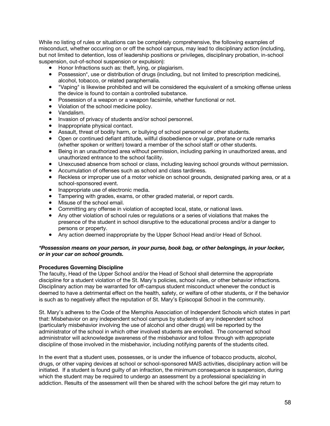While no listing of rules or situations can be completely comprehensive, the following examples of misconduct, whether occurring on or off the school campus, may lead to disciplinary action (including, but not limited to detention, loss of leadership positions or privileges, disciplinary probation, in-school suspension, out-of-school suspension or expulsion):

- Honor Infractions such as: theft, lying, or plagiarism.
- Possession\*, use or distribution of drugs (including, but not limited to prescription medicine), alcohol, tobacco, or related paraphernalia.
- "Vaping" is likewise prohibited and will be considered the equivalent of a smoking offense unless the device is found to contain a controlled substance.
- Possession of a weapon or a weapon facsimile, whether functional or not.
- Violation of the school medicine policy.
- Vandalism.
- Invasion of privacy of students and/or school personnel.
- Inappropriate physical contact.
- Assault, threat of bodily harm, or bullying of school personnel or other students.
- Open or continued defiant attitude, willful disobedience or vulgar, profane or rude remarks (whether spoken or written) toward a member of the school staff or other students.
- Being in an unauthorized area without permission, including parking in unauthorized areas, and unauthorized entrance to the school facility.
- Unexcused absence from school or class, including leaving school grounds without permission.
- Accumulation of offenses such as school and class tardiness.
- Reckless or improper use of a motor vehicle on school grounds, designated parking area, or at a school-sponsored event.
- Inappropriate use of electronic media.
- Tampering with grades, exams, or other graded material, or report cards.
- Misuse of the school email.
- Committing any offense in violation of accepted local, state, or national laws.
- Any other violation of school rules or regulations or a series of violations that makes the presence of the student in school disruptive to the educational process and/or a danger to persons or property.
- Any action deemed inappropriate by the Upper School Head and/or Head of School.

## *\*Possession means on your person, in your purse, book bag, or other belongings, in your locker, or in your car on school grounds.*

#### **Procedures Governing Discipline**

The faculty, Head of the Upper School and/or the Head of School shall determine the appropriate discipline for a student violation of the St. Mary's policies, school rules, or other behavior infractions. Disciplinary action may be warranted for off-campus student misconduct whenever the conduct is deemed to have a detrimental effect on the health, safety, or welfare of other students, or if the behavior is such as to negatively affect the reputation of St. Mary's Episcopal School in the community.

St. Mary's adheres to the Code of the Memphis Association of Independent Schools which states in part that: Misbehavior on any independent school campus by students of any independent school (particularly misbehavior involving the use of alcohol and other drugs) will be reported by the administrator of the school in which other involved students are enrolled. The concerned school administrator will acknowledge awareness of the misbehavior and follow through with appropriate discipline of those involved in the misbehavior, including notifying parents of the students cited.

In the event that a student uses, possesses, or is under the influence of tobacco products, alcohol, drugs, or other vaping devices at school or school-sponsored MAIS activities, disciplinary action will be initiated. If a student is found guilty of an infraction, the minimum consequence is suspension, during which the student may be required to undergo an assessment by a professional specializing in addiction. Results of the assessment will then be shared with the school before the girl may return to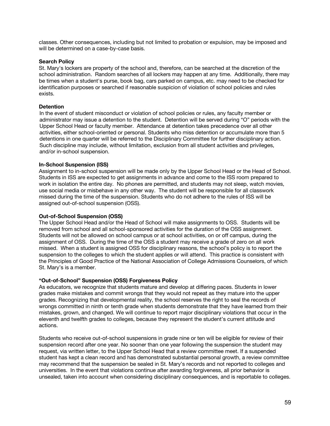classes. Other consequences, including but not limited to probation or expulsion, may be imposed and will be determined on a case-by-case basis.

## **Search Policy**

St. Mary's lockers are property of the school and, therefore, can be searched at the discretion of the school administration. Random searches of all lockers may happen at any time. Additionally, there may be times when a student's purse, book bag, cars parked on campus, etc. may need to be checked for identification purposes or searched if reasonable suspicion of violation of school policies and rules exists.

## **Detention**

In the event of student misconduct or violation of school policies or rules, any faculty member or administrator may issue a detention to the student. Detention will be served during "O" periods with the Upper School Head or faculty member. Attendance at detention takes precedence over all other activities, either school-oriented or personal. Students who miss detention or accumulate more than 5 detentions in one quarter will be referred to the Disciplinary Committee for further disciplinary action. Such discipline may include, without limitation, exclusion from all student activities and privileges, and/or in-school suspension.

## **In-School Suspension (ISS)**

Assignment to in-school suspension will be made only by the Upper School Head or the Head of School. Students in ISS are expected to get assignments in advance and come to the ISS room prepared to work in isolation the entire day. No phones are permitted, and students may not sleep, watch movies, use social media or misbehave in any other way. The student will be responsible for all classwork missed during the time of the suspension. Students who do not adhere to the rules of ISS will be assigned out-of-school suspension (OSS).

## **Out-of-School Suspension (OSS)**

The Upper School Head and/or the Head of School will make assignments to OSS. Students will be removed from school and all school-sponsored activities for the duration of the OSS assignment. Students will not be allowed on school campus or at school activities, on or off campus, during the assignment of OSS. During the time of the OSS a student may receive a grade of zero on all work missed. When a student is assigned OSS for disciplinary reasons, the school's policy is to report the suspension to the colleges to which the student applies or will attend. This practice is consistent with the Principles of Good Practice of the National Association of College Admissions Counselors, of which St. Mary's is a member.

#### **"Out-of-School" Suspension (OSS) Forgiveness Policy**

As educators, we recognize that students mature and develop at differing paces. Students in lower grades make mistakes and commit wrongs that they would not repeat as they mature into the upper grades. Recognizing that developmental reality, the school reserves the right to seal the records of wrongs committed in ninth or tenth grade when students demonstrate that they have learned from their mistakes, grown, and changed. We will continue to report major disciplinary violations that occur in the eleventh and twelfth grades to colleges, because they represent the student's current attitude and actions.

Students who receive out-of-school suspensions in grade nine or ten will be eligible for review of their suspension record after one year. No sooner than one year following the suspension the student may request, via written letter, to the Upper School Head that a review committee meet. If a suspended student has kept a clean record and has demonstrated substantial personal growth, a review committee may recommend that the suspension be sealed in St. Mary's records and not reported to colleges and universities. In the event that violations continue after awarding forgiveness, all prior behavior is unsealed, taken into account when considering disciplinary consequences, and is reportable to colleges.